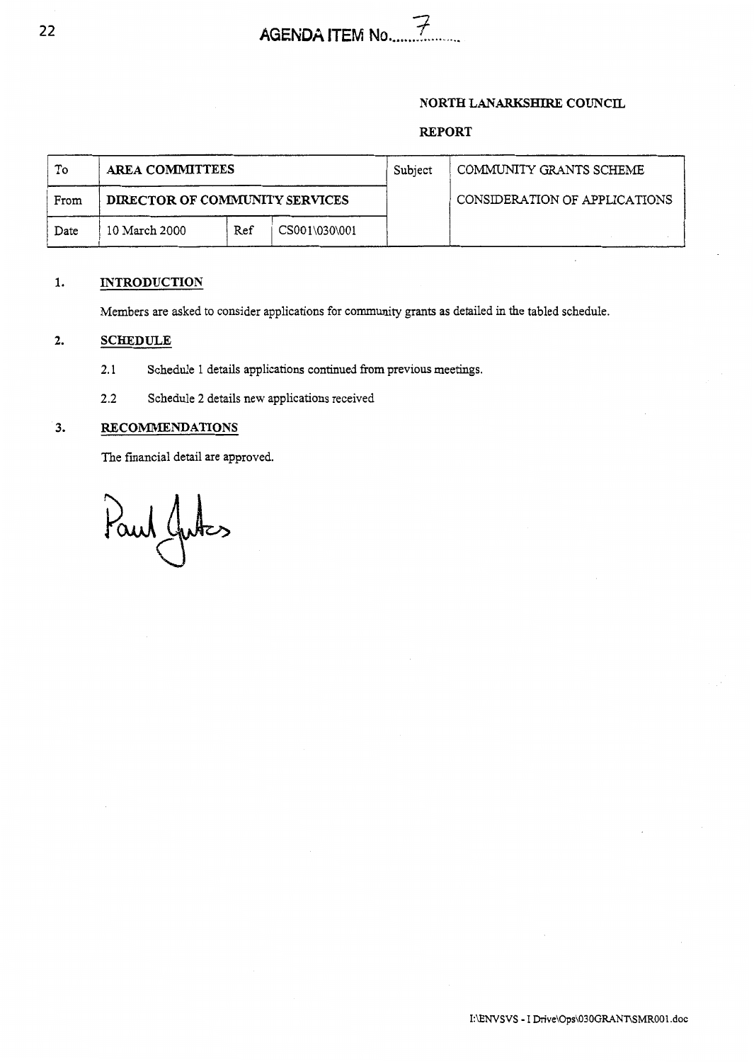### **NORTH** LANARKSHIRE **COUNCIL**

## **REPORT**

| To   | <b>AREA COMMITTEES</b>         |     |               | Subject | COMMUNITY GRANTS SCHEME       |
|------|--------------------------------|-----|---------------|---------|-------------------------------|
| From | DIRECTOR OF COMMUNITY SERVICES |     |               |         | CONSIDERATION OF APPLICATIONS |
| Date | 10 March 2000                  | Ref | CS001\030\001 |         |                               |

## **1. INTRODUCTION**

Members are asked to consider applications for community grants as detailed in the tabled schedule.

#### **2. SCHEDULE**

- 2.1 Schedule 1 details applications continued from previous meetings.
- 2.2 Schedule **2** details new applications received

#### **3. RECOMMENDATIONS**

The financial detail are approved.

Paul Jutes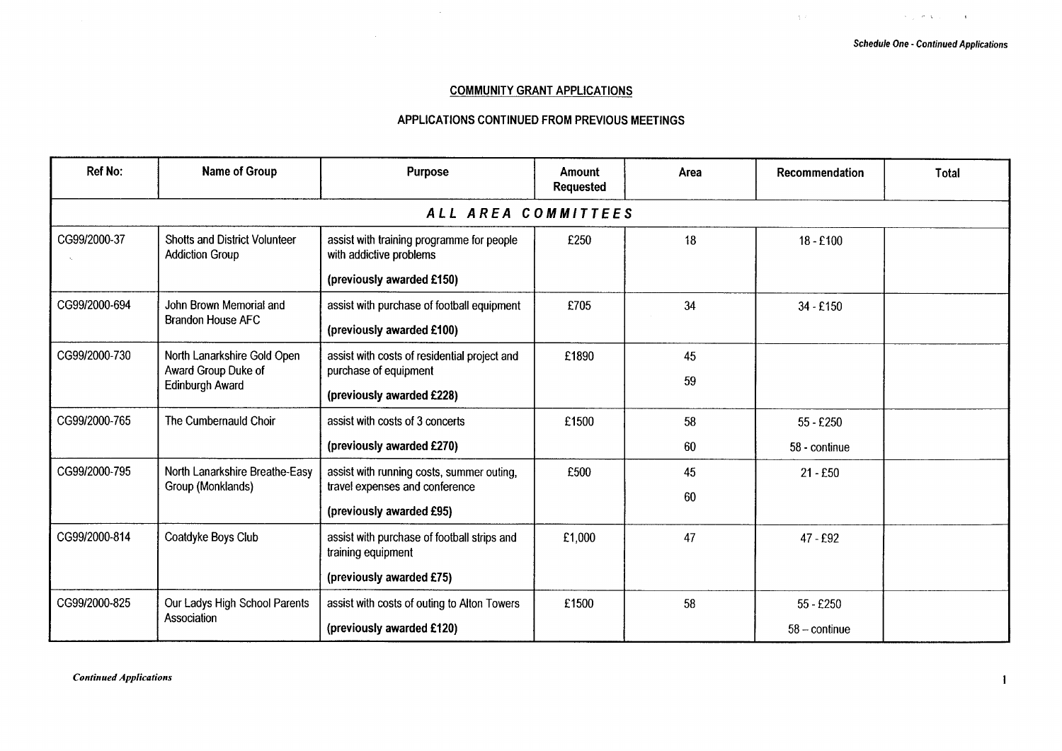$\mathcal{A}=\mathcal{A}^{\dagger}$  ,  $\mathcal{A}=\mathcal{A}^{\dagger}$  ,  $\mathcal{A}=\mathcal{A}^{\dagger}$  ,

 $\Delta\phi$  .

#### **COMMUNITY GRANT APPLICATIONS**

#### **APPLICATIONS CONTINUED FROM PREVIOUS MEETINGS**

| <b>Ref No:</b> | <b>Name of Group</b>                                                  | Purpose                                                              | Amount<br><b>Requested</b> | Area | Recommendation         | <b>Total</b> |  |  |  |  |
|----------------|-----------------------------------------------------------------------|----------------------------------------------------------------------|----------------------------|------|------------------------|--------------|--|--|--|--|
|                | ALL AREA COMMITTEES                                                   |                                                                      |                            |      |                        |              |  |  |  |  |
| CG99/2000-37   | <b>Shotts and District Volunteer</b><br><b>Addiction Group</b>        | assist with training programme for people<br>with addictive problems | £250                       | 18   | $18 - £100$            |              |  |  |  |  |
|                |                                                                       | (previously awarded £150)                                            |                            |      |                        |              |  |  |  |  |
| CG99/2000-694  | John Brown Memorial and                                               | assist with purchase of football equipment                           | £705                       | 34   | $34 - £150$            |              |  |  |  |  |
|                | <b>Brandon House AFC</b>                                              | (previously awarded £100)                                            |                            |      |                        |              |  |  |  |  |
| CG99/2000-730  | North Lanarkshire Gold Open<br>Award Group Duke of<br>Edinburgh Award | assist with costs of residential project and                         | £1890                      | 45   |                        |              |  |  |  |  |
|                |                                                                       | purchase of equipment                                                |                            | 59   |                        |              |  |  |  |  |
|                |                                                                       | (previously awarded £228)                                            |                            |      |                        |              |  |  |  |  |
| CG99/2000-765  | The Cumbernauld Choir                                                 | assist with costs of 3 concerts                                      | £1500                      | 58   | $55 - £250$            |              |  |  |  |  |
|                |                                                                       | (previously awarded £270)                                            |                            | 60   | 58 - continue          |              |  |  |  |  |
| CG99/2000-795  | North Lanarkshire Breathe-Easy                                        | assist with running costs, summer outing,                            | £500                       | 45   | $21 - £50$             |              |  |  |  |  |
|                | Group (Monklands)                                                     | travel expenses and conference                                       |                            | 60   |                        |              |  |  |  |  |
|                |                                                                       | (previously awarded £95)                                             |                            |      |                        |              |  |  |  |  |
| CG99/2000-814  | Coatdyke Boys Club                                                    | assist with purchase of football strips and<br>training equipment    | £1,000                     | 47   | $47 - £92$             |              |  |  |  |  |
|                |                                                                       | (previously awarded £75)                                             |                            |      |                        |              |  |  |  |  |
| CG99/2000-825  | Our Ladys High School Parents                                         | assist with costs of outing to Alton Towers                          | £1500                      | 58   | 55 - £250              |              |  |  |  |  |
|                | Association                                                           | (previously awarded £120)                                            |                            |      | $58 - \text{continue}$ |              |  |  |  |  |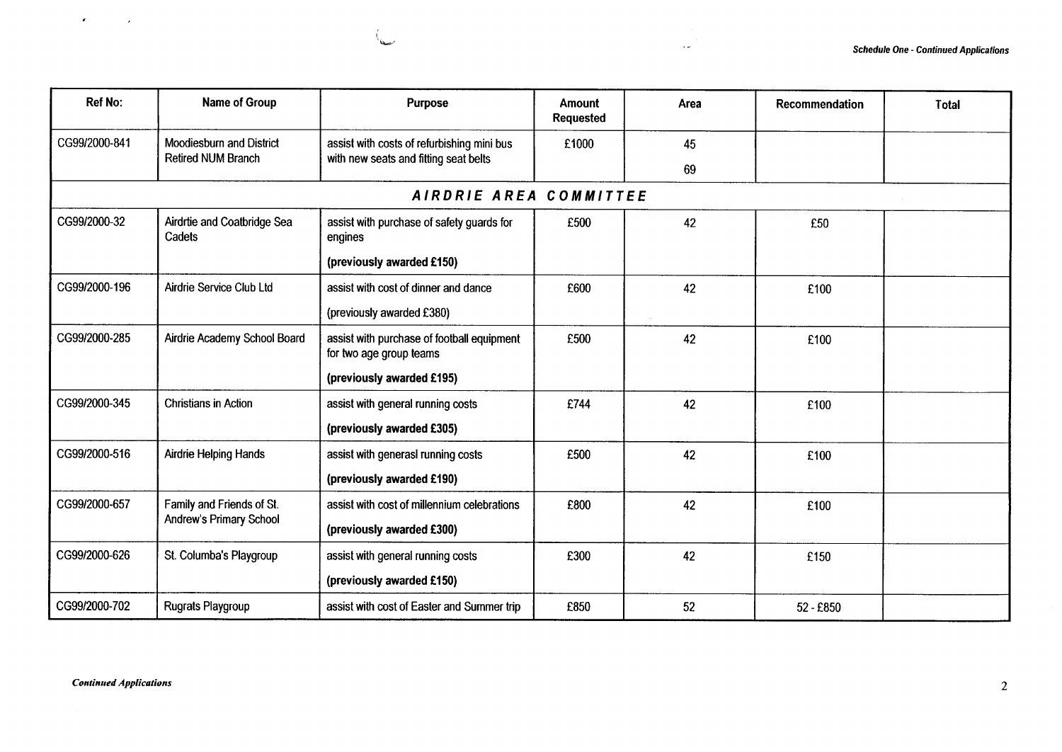| <b>Ref No:</b> | Name of Group                         | Purpose                                                               | Amount<br>Requested | Area | Recommendation | Total |
|----------------|---------------------------------------|-----------------------------------------------------------------------|---------------------|------|----------------|-------|
| CG99/2000-841  | Moodiesburn and District              | assist with costs of refurbishing mini bus                            | £1000               | 45   |                |       |
|                | <b>Retired NUM Branch</b>             | with new seats and fitting seat belts                                 |                     | 69   |                |       |
|                |                                       | AIRDRIE AREA COMMITTEE                                                |                     |      |                |       |
| CG99/2000-32   | Airdrite and Coatbridge Sea<br>Cadets | assist with purchase of safety guards for<br>engines                  | £500                | 42   | £50            |       |
|                |                                       | (previously awarded £150)                                             |                     |      |                |       |
| CG99/2000-196  | Airdrie Service Club Ltd              | assist with cost of dinner and dance                                  | £600                | 42   | £100           |       |
|                |                                       | (previously awarded £380)                                             |                     |      |                |       |
| CG99/2000-285  | Airdrie Academy School Board          | assist with purchase of football equipment<br>for two age group teams | £500                | 42   | £100           |       |
|                |                                       | (previously awarded £195)                                             |                     |      |                |       |
| CG99/2000-345  | <b>Christians in Action</b>           | assist with general running costs                                     | £744                | 42   | £100           |       |
|                |                                       | (previously awarded £305)                                             |                     |      |                |       |
| CG99/2000-516  | <b>Airdrie Helping Hands</b>          | assist with generasl running costs                                    | £500                | 42   | £100           |       |
|                |                                       | (previously awarded £190)                                             |                     |      |                |       |
| CG99/2000-657  | Family and Friends of St.             | assist with cost of millennium celebrations                           | £800                | 42   | £100           |       |
|                | Andrew's Primary School               | (previously awarded £300)                                             |                     |      |                |       |
| CG99/2000-626  | St. Columba's Playgroup               | assist with general running costs                                     | £300                | 42   | £150           |       |
|                |                                       | (previously awarded £150)                                             |                     |      |                |       |
| CG99/2000-702  | <b>Rugrats Playgroup</b>              | assist with cost of Easter and Summer trip                            | £850                | 52   | 52 - £850      |       |

 $\sim 10^{-1}$ 

 $\epsilon$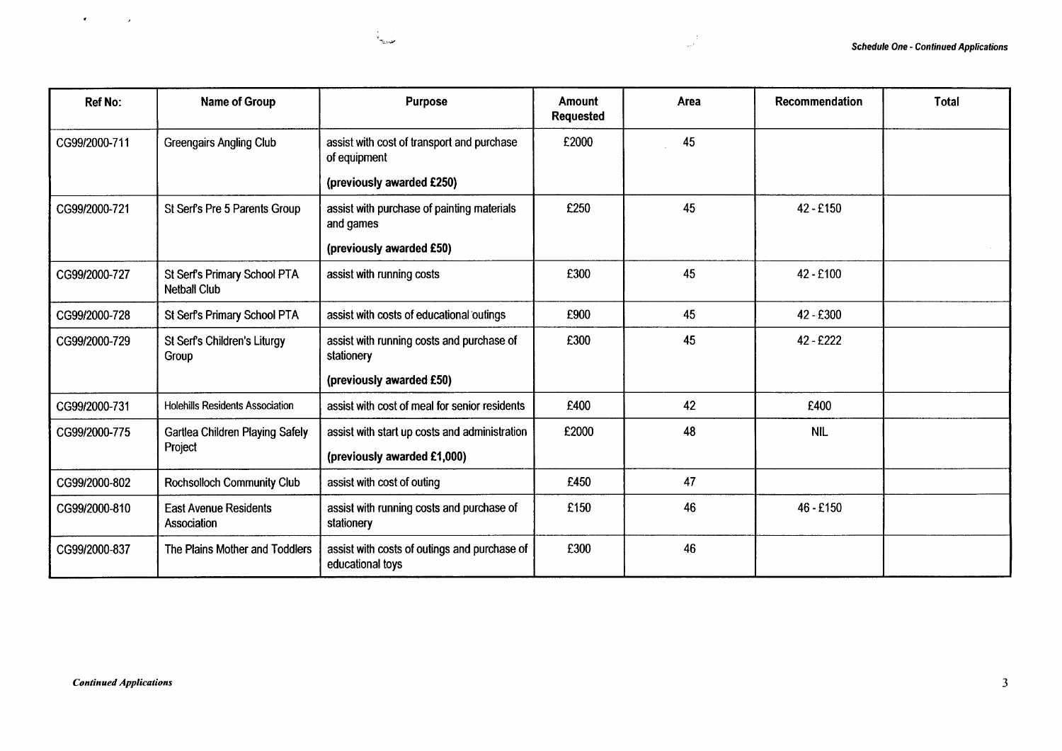|                                                                                                                                                       |                                                     | مفيديته                                                                      |                            | $\frac{1}{\sqrt{2}r^2}$ . |                |                                              |
|-------------------------------------------------------------------------------------------------------------------------------------------------------|-----------------------------------------------------|------------------------------------------------------------------------------|----------------------------|---------------------------|----------------|----------------------------------------------|
| Ref No:                                                                                                                                               | Name of Group                                       | <b>Purpose</b>                                                               | Amount<br><b>Requested</b> | Area                      | Recommendation | Total                                        |
|                                                                                                                                                       | <b>Greengairs Angling Club</b>                      | assist with cost of transport and purchase<br>of equipment                   | £2000                      | 45                        |                |                                              |
|                                                                                                                                                       |                                                     | (previously awarded £250)                                                    |                            |                           |                |                                              |
|                                                                                                                                                       | St Serf's Pre 5 Parents Group                       | assist with purchase of painting materials<br>and games                      | £250                       | 45                        | 42 - £150      |                                              |
|                                                                                                                                                       |                                                     | (previously awarded £50)                                                     |                            |                           |                | <b>Schedule One - Continued Applications</b> |
|                                                                                                                                                       | St Serf's Primary School PTA<br><b>Netball Club</b> | assist with running costs                                                    | £300                       | 45                        | 42 - £100      |                                              |
|                                                                                                                                                       | St Serf's Primary School PTA                        | assist with costs of educational outings                                     | £900                       | 45                        | 42 - £300      |                                              |
|                                                                                                                                                       | St Serf's Children's Liturgy<br>Group               | assist with running costs and purchase of<br>stationery                      | £300                       | 45                        | 42 - £222      |                                              |
|                                                                                                                                                       |                                                     | (previously awarded £50)                                                     |                            |                           |                |                                              |
|                                                                                                                                                       | <b>Holehills Residents Association</b>              | assist with cost of meal for senior residents                                | £400                       | 42                        | £400           |                                              |
|                                                                                                                                                       | <b>Gartlea Children Playing Safely</b><br>Project   | assist with start up costs and administration<br>(previously awarded £1,000) | £2000                      | 48                        | <b>NIL</b>     |                                              |
|                                                                                                                                                       | <b>Rochsolloch Community Club</b>                   | assist with cost of outing                                                   | £450                       | 47                        |                |                                              |
| CG99/2000-711<br>CG99/2000-721<br>CG99/2000-727<br>CG99/2000-728<br>CG99/2000-729<br>CG99/2000-731<br>CG99/2000-775<br>CG99/2000-802<br>CG99/2000-810 | <b>East Avenue Residents</b><br>Association         | assist with running costs and purchase of<br>stationery                      | £150                       | 46                        | 46 - £150      |                                              |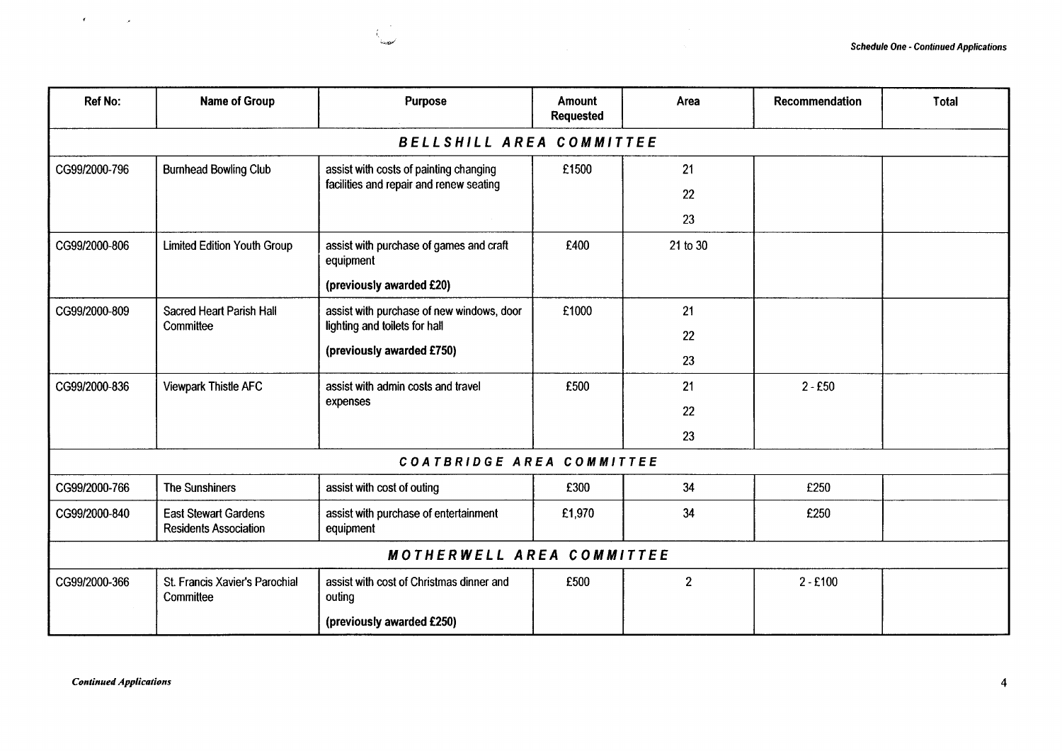┯

| <b>Ref No:</b> | <b>Name of Group</b>                                        | <b>Purpose</b>                                       | Amount<br><b>Requested</b> | Area           | Recommendation | <b>Total</b> |
|----------------|-------------------------------------------------------------|------------------------------------------------------|----------------------------|----------------|----------------|--------------|
|                |                                                             | BELLSHILL AREA COMMITTEE                             |                            |                |                |              |
| CG99/2000-796  | <b>Burnhead Bowling Club</b>                                | assist with costs of painting changing               | £1500                      | 21             |                |              |
|                |                                                             | facilities and repair and renew seating              |                            | 22             |                |              |
|                |                                                             |                                                      |                            | 23             |                |              |
| CG99/2000-806  | <b>Limited Edition Youth Group</b>                          | assist with purchase of games and craft<br>equipment | £400                       | 21 to 30       |                |              |
|                |                                                             | (previously awarded £20)                             |                            |                |                |              |
| CG99/2000-809  | <b>Sacred Heart Parish Hall</b>                             | assist with purchase of new windows, door            | £1000                      | 21             |                |              |
|                | Committee                                                   | lighting and toilets for hall                        |                            | 22             |                |              |
|                |                                                             | (previously awarded £750)                            |                            | 23             |                |              |
| CG99/2000-836  | Viewpark Thistle AFC                                        | assist with admin costs and travel<br>expenses       | £500                       | 21             | $2 - £50$      |              |
|                |                                                             |                                                      |                            | 22             |                |              |
|                |                                                             |                                                      |                            | 23             |                |              |
|                |                                                             | COATBRIDGE AREA COMMITTEE                            |                            |                |                |              |
| CG99/2000-766  | <b>The Sunshiners</b>                                       | assist with cost of outing                           | £300                       | 34             | £250           |              |
| CG99/2000-840  | <b>East Stewart Gardens</b><br><b>Residents Association</b> | assist with purchase of entertainment<br>equipment   | £1,970                     | 34             | £250           |              |
|                |                                                             | <b>MOTHERWELL AREA COMMITTEE</b>                     |                            |                |                |              |
| CG99/2000-366  | St. Francis Xavier's Parochial<br>Committee                 | assist with cost of Christmas dinner and<br>outing   | £500                       | $\overline{2}$ | $2 - £100$     |              |
|                |                                                             | (previously awarded £250)                            |                            |                |                |              |

٦

7

 $\mathcal{F}^{\pm}$ 

٠.

 $\sim 10^{11}$  meV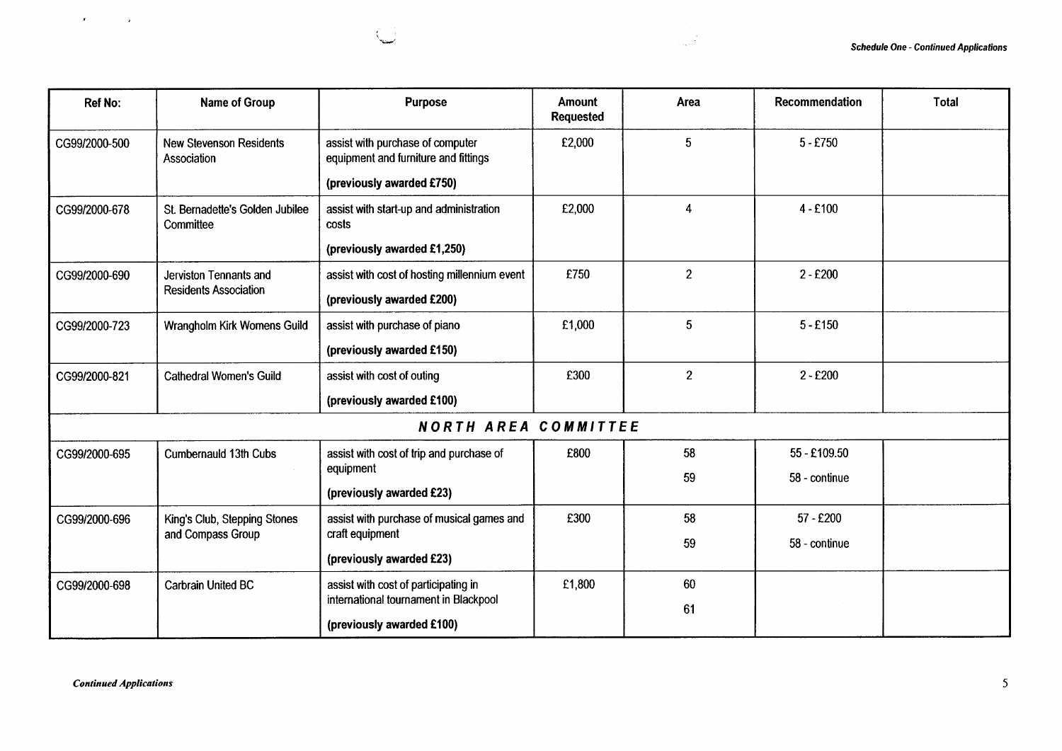| <b>Ref No:</b> | Name of Group                                 | <b>Purpose</b>                                                           | <b>Amount</b><br><b>Requested</b> | Area            | <b>Recommendation</b> | <b>Total</b> |
|----------------|-----------------------------------------------|--------------------------------------------------------------------------|-----------------------------------|-----------------|-----------------------|--------------|
| CG99/2000-500  | <b>New Stevenson Residents</b><br>Association | assist with purchase of computer<br>equipment and furniture and fittings | £2,000                            | $5\overline{)}$ | $5 - £750$            |              |
|                |                                               | (previously awarded £750)                                                |                                   |                 |                       |              |
| CG99/2000-678  | St. Bernadette's Golden Jubilee<br>Committee  | assist with start-up and administration<br>costs                         | £2,000                            | $\overline{4}$  | $4 - £100$            |              |
|                |                                               | (previously awarded £1,250)                                              |                                   |                 |                       |              |
| CG99/2000-690  | Jerviston Tennants and                        | assist with cost of hosting millennium event                             | £750                              | $\overline{2}$  | $2 - £200$            |              |
|                | <b>Residents Association</b>                  | (previously awarded £200)                                                |                                   |                 |                       |              |
| CG99/2000-723  | Wrangholm Kirk Womens Guild                   | assist with purchase of piano                                            | £1,000                            | 5               | $5 - £150$            |              |
|                |                                               | (previously awarded £150)                                                |                                   |                 |                       |              |
| CG99/2000-821  | <b>Cathedral Women's Guild</b>                | assist with cost of outing                                               | £300                              | $\overline{2}$  | $2 - £200$            |              |
|                |                                               | (previously awarded £100)                                                |                                   |                 |                       |              |
|                |                                               | <b>NORTH AREA COMMITTEE</b>                                              |                                   |                 |                       |              |
| CG99/2000-695  | Cumbernauld 13th Cubs                         | assist with cost of trip and purchase of                                 | £800                              | 58              | 55 - £109.50          |              |
|                |                                               | equipment<br>(previously awarded £23)                                    |                                   | 59              | 58 - continue         |              |
| CG99/2000-696  | King's Club, Stepping Stones                  | assist with purchase of musical games and                                | £300                              | 58              | 57 - £200             |              |
|                | and Compass Group                             | craft equipment                                                          |                                   | 59              | 58 - continue         |              |
|                |                                               | (previously awarded £23)                                                 |                                   |                 |                       |              |
| CG99/2000-698  | Carbrain United BC                            | assist with cost of participating in                                     | £1,800                            | 60              |                       |              |
|                |                                               | international tournament in Blackpool                                    |                                   | 61              |                       |              |
|                |                                               | (previously awarded £100)                                                |                                   |                 |                       |              |

 $\mathbf{r}$  .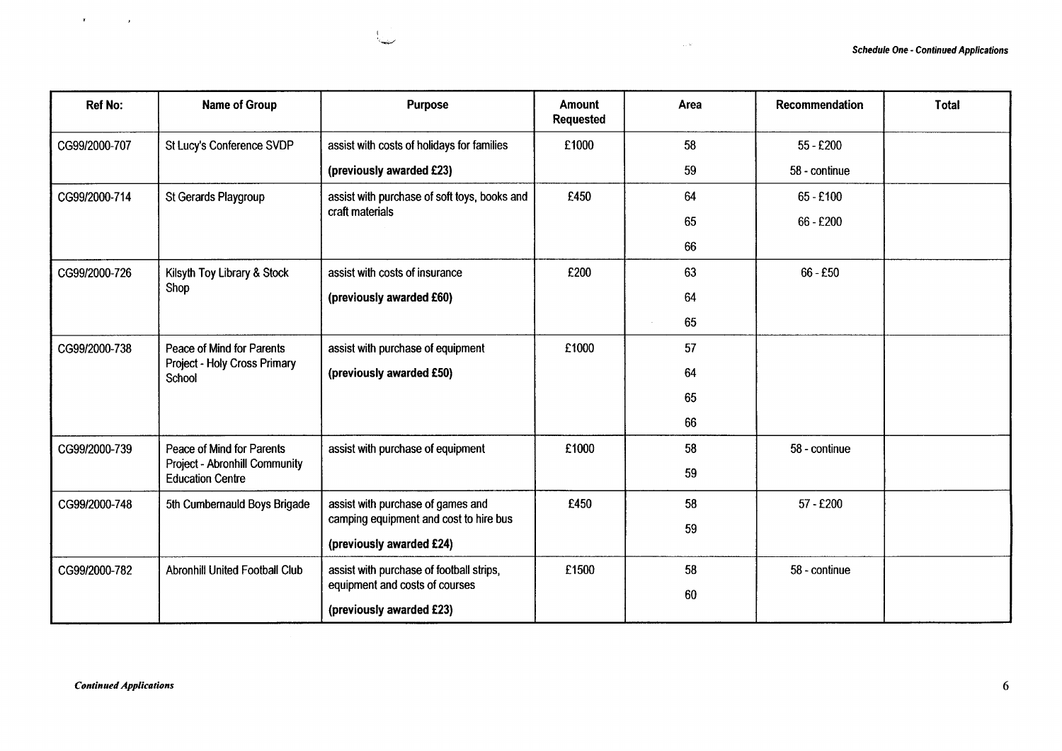| <b>Ref No:</b> | Name of Group                                                       | <b>Purpose</b>                                                     | <b>Amount</b><br><b>Requested</b> | Area | Recommendation | <b>Total</b> |
|----------------|---------------------------------------------------------------------|--------------------------------------------------------------------|-----------------------------------|------|----------------|--------------|
| CG99/2000-707  | St Lucy's Conference SVDP                                           | assist with costs of holidays for families                         | £1000                             | 58   | $55 - £200$    |              |
|                |                                                                     | (previously awarded £23)                                           |                                   | 59   | 58 - continue  |              |
| CG99/2000-714  | St Gerards Playgroup                                                | assist with purchase of soft toys, books and                       | £450                              | 64   | 65 - £100      |              |
|                |                                                                     | craft materials                                                    |                                   | 65   | 66 - £200      |              |
|                |                                                                     |                                                                    |                                   | 66   |                |              |
| CG99/2000-726  | Kilsyth Toy Library & Stock                                         | assist with costs of insurance                                     | £200                              | 63   | $66 - £50$     |              |
|                | Shop                                                                | (previously awarded £60)                                           |                                   | 64   |                |              |
|                |                                                                     |                                                                    |                                   | 65   |                |              |
| CG99/2000-738  | Peace of Mind for Parents<br>Project - Holy Cross Primary<br>School | assist with purchase of equipment                                  | £1000                             | 57   |                |              |
|                |                                                                     | (previously awarded £50)                                           |                                   | 64   |                |              |
|                |                                                                     |                                                                    |                                   | 65   |                |              |
|                |                                                                     |                                                                    |                                   | 66   |                |              |
| CG99/2000-739  | Peace of Mind for Parents                                           | assist with purchase of equipment                                  | £1000                             | 58   | 58 - continue  |              |
|                | Project - Abronhill Community<br><b>Education Centre</b>            |                                                                    |                                   | 59   |                |              |
| CG99/2000-748  | 5th Cumbernauld Boys Brigade                                        | assist with purchase of games and                                  | £450                              | 58   | 57 - £200      |              |
|                |                                                                     | camping equipment and cost to hire bus<br>(previously awarded £24) |                                   | 59   |                |              |
| CG99/2000-782  | <b>Abronhill United Football Club</b>                               | assist with purchase of football strips,                           | £1500                             | 58   | 58 - continue  |              |
|                |                                                                     | equipment and costs of courses                                     |                                   | 60   |                |              |
|                |                                                                     | (previously awarded £23)                                           |                                   |      |                |              |

 $\sim 10$ 

 $\mathbf{r}$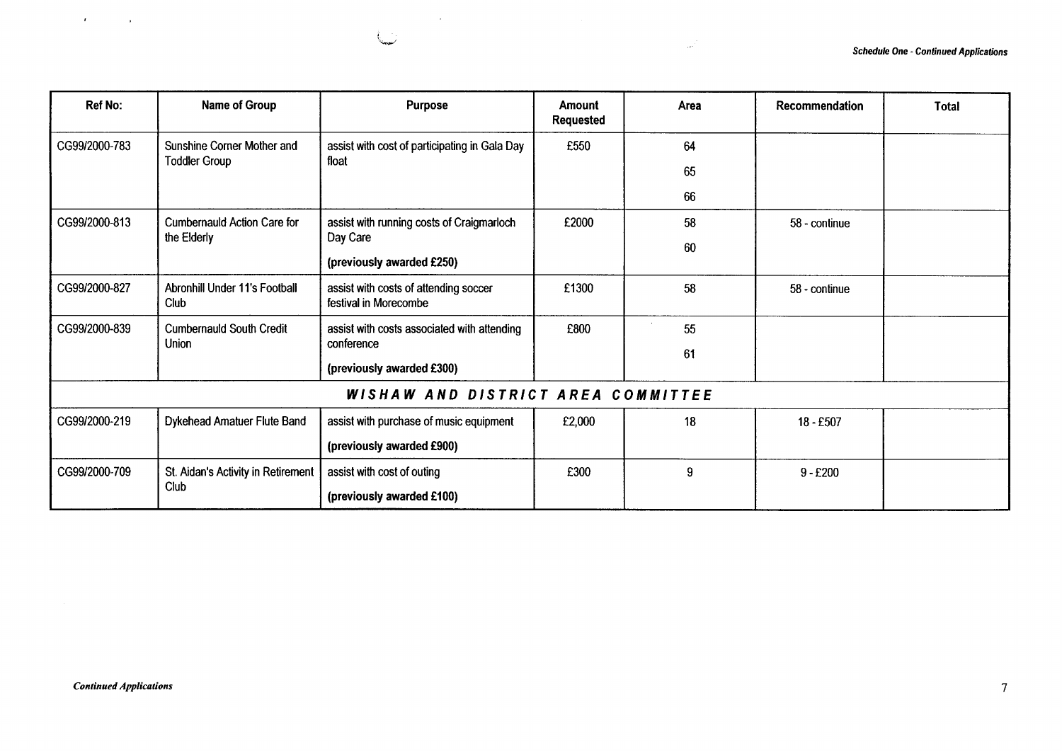| <b>Ref No:</b> | <b>Name of Group</b>                         | <b>Purpose</b>                                                 | <b>Amount</b><br><b>Requested</b> | Area | Recommendation | <b>Total</b> |
|----------------|----------------------------------------------|----------------------------------------------------------------|-----------------------------------|------|----------------|--------------|
| CG99/2000-783  | Sunshine Corner Mother and                   | assist with cost of participating in Gala Day<br>float         | £550                              | 64   |                |              |
|                | <b>Toddler Group</b>                         |                                                                |                                   | 65   |                |              |
|                |                                              |                                                                |                                   | 66   |                |              |
| CG99/2000-813  | <b>Cumbernauld Action Care for</b>           | assist with running costs of Craigmarloch                      | £2000                             | 58   | 58 - continue  |              |
|                | the Elderly                                  | Day Care<br>(previously awarded £250)                          |                                   | 60   |                |              |
| CG99/2000-827  | <b>Abronhill Under 11's Football</b><br>Club | assist with costs of attending soccer<br>festival in Morecombe | £1300                             | 58   | 58 - continue  |              |
| CG99/2000-839  | <b>Cumbernauld South Credit</b>              | assist with costs associated with attending                    | £800                              | 55   |                |              |
|                | Union                                        | conference                                                     |                                   | 61   |                |              |
|                |                                              | (previously awarded £300)                                      |                                   |      |                |              |
|                |                                              | WISHAW AND DISTRICT AREA COMMITTEE                             |                                   |      |                |              |
| CG99/2000-219  | Dykehead Amatuer Flute Band                  | assist with purchase of music equipment                        | £2,000                            | 18   | 18 - £507      |              |
|                |                                              | (previously awarded £900)                                      |                                   |      |                |              |
| CG99/2000-709  | St. Aidan's Activity in Retirement           | assist with cost of outing                                     | £300                              | 9    | $9 - £200$     |              |
|                | Club                                         | (previously awarded £100)                                      |                                   |      |                |              |

i.

 $\sim 10$ 

 $\hat{z}$  and  $\hat{z}$ 

 $\mathbf{r}$ 

 $\blacksquare$ 

 $\Delta$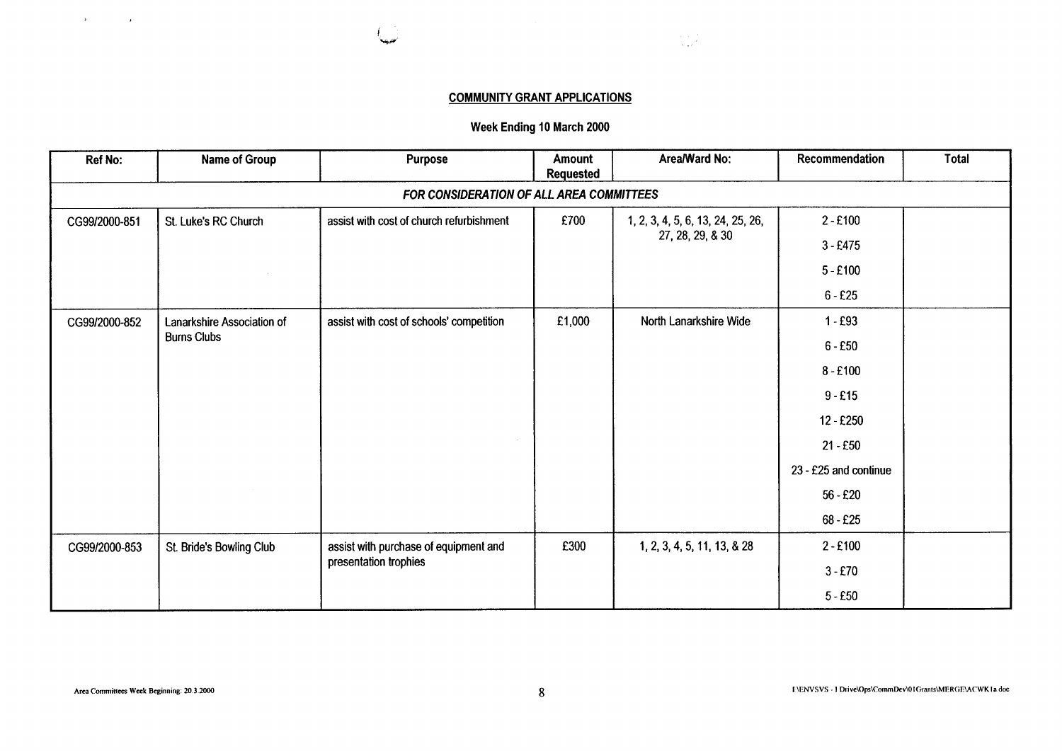

# **COMMUNITY GRANT APPLICATIONS**

# **Week Ending 10 March 2000**

| <b>Ref No:</b>                           | <b>Name of Group</b>       | <b>Purpose</b>                           | Amount<br><b>Requested</b> | Area/Ward No:                     | Recommendation        | Total |  |  |  |
|------------------------------------------|----------------------------|------------------------------------------|----------------------------|-----------------------------------|-----------------------|-------|--|--|--|
| FOR CONSIDERATION OF ALL AREA COMMITTEES |                            |                                          |                            |                                   |                       |       |  |  |  |
| CG99/2000-851                            | St. Luke's RC Church       | assist with cost of church refurbishment | £700                       | 1, 2, 3, 4, 5, 6, 13, 24, 25, 26, | $2 - £100$            |       |  |  |  |
|                                          |                            |                                          |                            | 27, 28, 29, & 30                  | $3 - £475$            |       |  |  |  |
|                                          |                            |                                          |                            |                                   | $5 - £100$            |       |  |  |  |
|                                          |                            |                                          |                            |                                   | $6 - £25$             |       |  |  |  |
| CG99/2000-852                            | Lanarkshire Association of | assist with cost of schools' competition | £1,000                     | North Lanarkshire Wide            | $1 - E93$             |       |  |  |  |
| <b>Burns Clubs</b>                       |                            |                                          |                            |                                   | $6 - £50$             |       |  |  |  |
|                                          |                            |                                          |                            |                                   | $8 - £100$            |       |  |  |  |
|                                          |                            |                                          |                            |                                   | $9 - £15$             |       |  |  |  |
|                                          |                            |                                          |                            |                                   | 12 - £250             |       |  |  |  |
|                                          |                            |                                          |                            |                                   | $21 - £50$            |       |  |  |  |
|                                          |                            |                                          |                            |                                   | 23 - £25 and continue |       |  |  |  |
|                                          |                            |                                          |                            |                                   | $56 - £20$            |       |  |  |  |
|                                          |                            |                                          |                            |                                   | $68 - £25$            |       |  |  |  |
| CG99/2000-853                            | St. Bride's Bowling Club   | assist with purchase of equipment and    | £300                       | 1, 2, 3, 4, 5, 11, 13, & 28       | $2 - £100$            |       |  |  |  |
|                                          |                            | presentation trophies                    |                            |                                   | $3 - £70$             |       |  |  |  |
|                                          |                            |                                          |                            |                                   | $5 - £50$             |       |  |  |  |

 $\label{eq:2.1} \mathbf{y} = \mathbf{y} + \mathbf{y} + \mathbf{y} + \mathbf{y} + \mathbf{y} + \mathbf{y} + \mathbf{y} + \mathbf{y} + \mathbf{y} + \mathbf{y} + \mathbf{y} + \mathbf{y} + \mathbf{y} + \mathbf{y} + \mathbf{y} + \mathbf{y} + \mathbf{y} + \mathbf{y} + \mathbf{y} + \mathbf{y} + \mathbf{y} + \mathbf{y} + \mathbf{y} + \mathbf{y} + \mathbf{y} + \mathbf{y} + \mathbf{y} + \mathbf{y} + \mathbf{y} + \$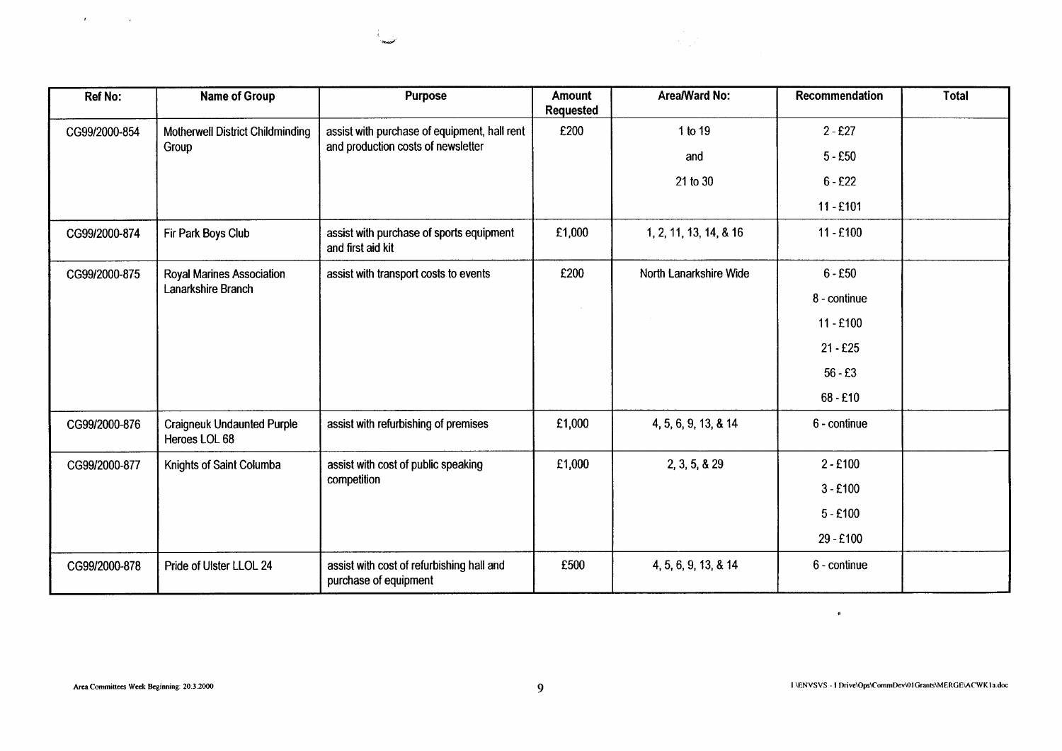| <b>Ref No:</b> | Name of Group                                      | <b>Purpose</b>                                                                     | Amount<br>Requested | Area/Ward No:          | Recommendation | <b>Total</b> |
|----------------|----------------------------------------------------|------------------------------------------------------------------------------------|---------------------|------------------------|----------------|--------------|
| CG99/2000-854  | Motherwell District Childminding<br>Group          | assist with purchase of equipment, hall rent<br>and production costs of newsletter | £200                | 1 to 19                | $2 - £27$      |              |
|                |                                                    |                                                                                    |                     | and                    | $5 - £50$      |              |
|                |                                                    |                                                                                    |                     | 21 to 30               | $6 - £22$      |              |
|                |                                                    |                                                                                    |                     |                        | $11 - £101$    |              |
| CG99/2000-874  | Fir Park Boys Club                                 | assist with purchase of sports equipment<br>and first aid kit                      | £1,000              | 1, 2, 11, 13, 14, & 16 | $11 - £100$    |              |
| CG99/2000-875  | Royal Marines Association                          | assist with transport costs to events                                              | £200                | North Lanarkshire Wide | $6 - £50$      |              |
|                | Lanarkshire Branch                                 |                                                                                    |                     |                        | 8 - continue   |              |
|                |                                                    |                                                                                    |                     |                        | $11 - £100$    |              |
|                |                                                    |                                                                                    |                     |                        | $21 - £25$     |              |
|                |                                                    |                                                                                    |                     |                        | $56 - £3$      |              |
|                |                                                    |                                                                                    |                     |                        | $68 - £10$     |              |
| CG99/2000-876  | <b>Craigneuk Undaunted Purple</b><br>Heroes LOL 68 | assist with refurbishing of premises                                               | £1,000              | 4, 5, 6, 9, 13, & 14   | 6 - continue   |              |
| CG99/2000-877  | Knights of Saint Columba                           | assist with cost of public speaking                                                | £1,000              | 2, 3, 5, 8, 29         | $2 - £100$     |              |
|                |                                                    | competition                                                                        |                     |                        | $3 - £100$     |              |
|                |                                                    |                                                                                    |                     |                        | $5 - £100$     |              |
|                |                                                    |                                                                                    |                     |                        | 29 - £100      |              |
| CG99/2000-878  | Pride of Ulster LLOL 24                            | assist with cost of refurbishing hall and<br>purchase of equipment                 | £500                | 4, 5, 6, 9, 13, & 14   | 6 - continue   |              |

 $\mathcal{L}$ شاعبا

 $\mathbf{A}^{\text{max}}$  and  $\mathbf{A}^{\text{max}}$ 

 $\bullet$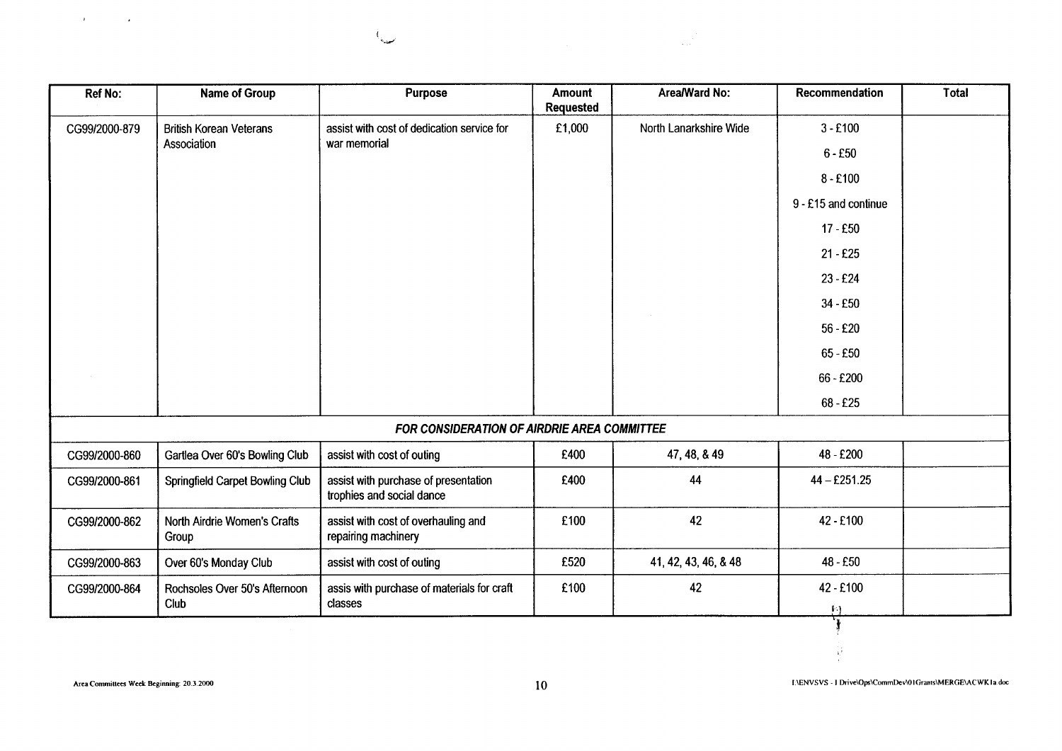

classes

 $\mathcal{A}_{\text{cusp}}$ 

Club

 $\sim$ 

 $\sim 100$ 

**I** .I

V

£100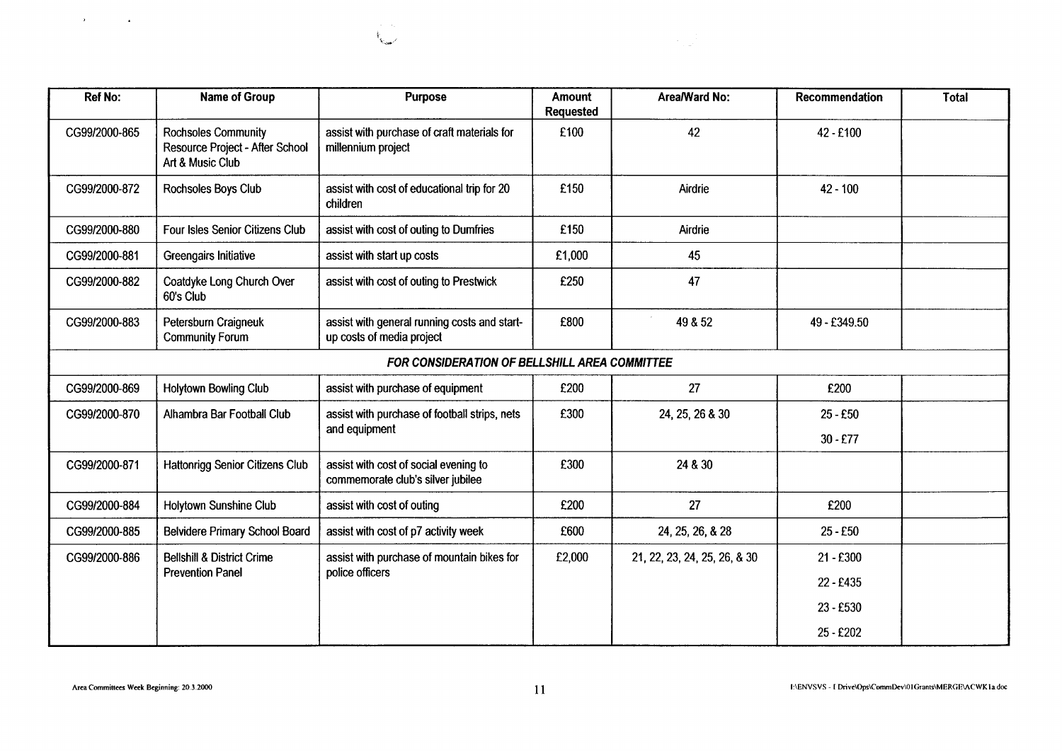| <b>Ref No:</b> | Name of Group                                                                     | <b>Purpose</b>                                                             | <b>Amount</b><br><b>Requested</b> | Area/Ward No:                | Recommendation | <b>Total</b> |
|----------------|-----------------------------------------------------------------------------------|----------------------------------------------------------------------------|-----------------------------------|------------------------------|----------------|--------------|
| CG99/2000-865  | <b>Rochsoles Community</b><br>Resource Project - After School<br>Art & Music Club | assist with purchase of craft materials for<br>millennium project          | £100                              | 42                           | 42 - £100      |              |
| CG99/2000-872  | Rochsoles Boys Club                                                               | assist with cost of educational trip for 20<br>children                    | £150                              | Airdrie                      | $42 - 100$     |              |
| CG99/2000-880  | Four Isles Senior Citizens Club                                                   | assist with cost of outing to Dumfries                                     | £150                              | Airdrie                      |                |              |
| CG99/2000-881  | Greengairs Initiative                                                             | assist with start up costs                                                 | £1,000                            | 45                           |                |              |
| CG99/2000-882  | Coatdyke Long Church Over<br>60's Club                                            | assist with cost of outing to Prestwick                                    | £250                              | 47                           |                |              |
| CG99/2000-883  | Petersburn Craigneuk<br><b>Community Forum</b>                                    | assist with general running costs and start-<br>up costs of media project  | £800                              | 49 & 52                      | 49-£349.50     |              |
|                |                                                                                   | FOR CONSIDERATION OF BELLSHILL AREA COMMITTEE                              |                                   |                              |                |              |
| CG99/2000-869  | <b>Holytown Bowling Club</b>                                                      | assist with purchase of equipment                                          | £200                              | 27                           | £200           |              |
| CG99/2000-870  | Alhambra Bar Football Club                                                        | assist with purchase of football strips, nets                              | £300                              | 24, 25, 26 & 30              | $25 - £50$     |              |
|                |                                                                                   | and equipment                                                              |                                   |                              | $30 - £77$     |              |
| CG99/2000-871  | Hattonrigg Senior Citizens Club                                                   | assist with cost of social evening to<br>commemorate club's silver jubilee | £300                              | 24 & 30                      |                |              |
| CG99/2000-884  | Holytown Sunshine Club                                                            | assist with cost of outing                                                 | £200                              | 27                           | £200           |              |
| CG99/2000-885  | Belvidere Primary School Board                                                    | assist with cost of p7 activity week                                       | £600                              | 24, 25, 26, & 28             | $25 - E50$     |              |
| CG99/2000-886  | <b>Bellshill &amp; District Crime</b>                                             | assist with purchase of mountain bikes for                                 | £2,000                            | 21, 22, 23, 24, 25, 26, & 30 | $21 - £300$    |              |
|                | <b>Prevention Panel</b>                                                           | police officers                                                            |                                   |                              | 22 - £435      |              |
|                |                                                                                   |                                                                            |                                   |                              | 23 - £530      |              |
|                |                                                                                   |                                                                            |                                   |                              | 25 - £202      |              |

 $\mathcal{N}_{\mathcal{K}_{\text{max}}}$ 

 $\Delta \phi$  and  $\Delta \phi$  and  $\Delta \phi$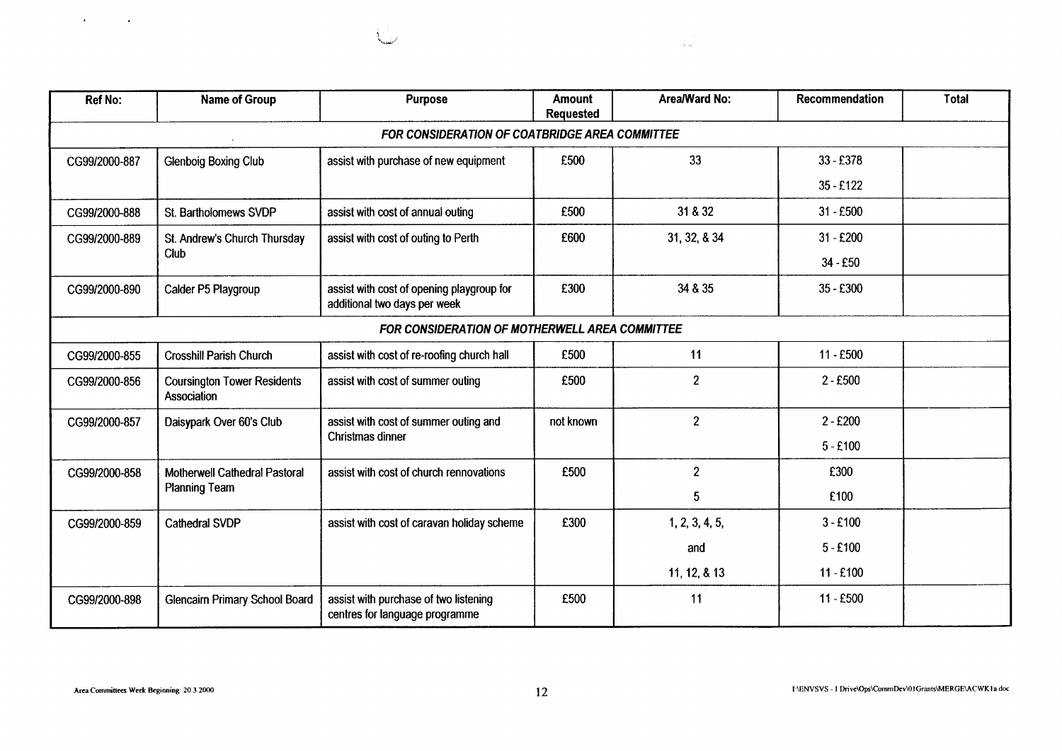| $\bullet$     |                                                       |                                                                           |                                   |                              |                |              |
|---------------|-------------------------------------------------------|---------------------------------------------------------------------------|-----------------------------------|------------------------------|----------------|--------------|
|               |                                                       |                                                                           |                                   | $\sigma_{\rm{e}}$ , $\omega$ |                |              |
|               |                                                       |                                                                           |                                   |                              |                |              |
| Ref No:       | <b>Name of Group</b>                                  | Purpose                                                                   | <b>Amount</b><br><b>Requested</b> | Area/Ward No:                | Recommendation | <b>Total</b> |
|               |                                                       | FOR CONSIDERATION OF COATBRIDGE AREA COMMITTEE                            |                                   |                              |                |              |
| CG99/2000-887 | <b>Glenboig Boxing Club</b>                           | assist with purchase of new equipment                                     | £500                              | 33                           | 33 - £378      |              |
|               |                                                       |                                                                           |                                   |                              | 35 - £122      |              |
| CG99/2000-888 | St. Bartholomews SVDP                                 | assist with cost of annual outing                                         | £500                              | 31 & 32                      | $31 - £500$    |              |
| CG99/2000-889 | St. Andrew's Church Thursday<br>Club                  | assist with cost of outing to Perth                                       | £600                              | 31, 32, & 34                 | $31 - £200$    |              |
|               |                                                       |                                                                           |                                   |                              | 34 - £50       |              |
| CG99/2000-890 | Calder P5 Playgroup                                   | assist with cost of opening playgroup for<br>additional two days per week | £300                              | 34 & 35                      | 35 - £300      |              |
|               |                                                       | FOR CONSIDERATION OF MOTHERWELL AREA COMMITTEE                            |                                   |                              |                |              |
| CG99/2000-855 | <b>Crosshill Parish Church</b>                        | assist with cost of re-roofing church hall                                | £500                              | 11                           | $11 - £500$    |              |
| CG99/2000-856 | <b>Coursington Tower Residents</b><br>Association     | assist with cost of summer outing                                         | £500                              | $\boldsymbol{2}$             | $2 - £500$     |              |
| CG99/2000-857 | Daisypark Over 60's Club                              | assist with cost of summer outing and<br>Christmas dinner                 | not known                         | $\overline{2}$               | $2 - £200$     |              |
|               |                                                       |                                                                           |                                   |                              | $5 - £100$     |              |
| CG99/2000-858 | Motherwell Cathedral Pastoral<br><b>Planning Team</b> | assist with cost of church rennovations                                   | £500                              | $\overline{2}$               | £300           |              |
|               |                                                       |                                                                           |                                   | 5 <sub>5</sub>               | £100           |              |
| CG99/2000-859 | <b>Cathedral SVDP</b>                                 | assist with cost of caravan holiday scheme                                | £300                              | 1, 2, 3, 4, 5,               | $3 - £100$     |              |
|               |                                                       |                                                                           |                                   | and                          | $5 - £100$     |              |
|               |                                                       |                                                                           |                                   | 11, 12, & 13                 | $11 - £100$    |              |
| CG99/2000-898 | <b>Glencairn Primary School Board</b>                 | assist with purchase of two listening<br>centres for language programme   | £500                              | 11                           | 11-£500        |              |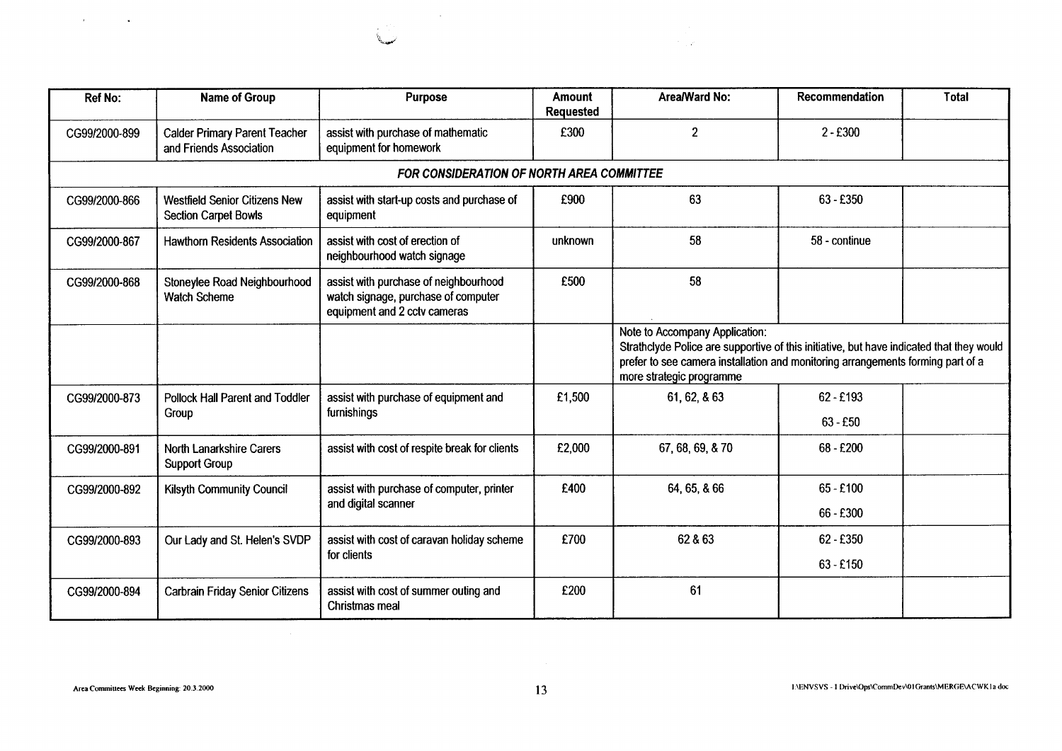|               |                                                                     |                                                                                                              |                            | $\mathcal{F}=\mathcal{F}$                                                                                                                                                                                                        |                         |              |
|---------------|---------------------------------------------------------------------|--------------------------------------------------------------------------------------------------------------|----------------------------|----------------------------------------------------------------------------------------------------------------------------------------------------------------------------------------------------------------------------------|-------------------------|--------------|
|               |                                                                     |                                                                                                              |                            |                                                                                                                                                                                                                                  |                         |              |
| Ref No:       | <b>Name of Group</b>                                                | Purpose                                                                                                      | Amount<br><b>Requested</b> | <b>Area/Ward No:</b>                                                                                                                                                                                                             | Recommendation          | <b>Total</b> |
| CG99/2000-899 | <b>Calder Primary Parent Teacher</b><br>and Friends Association     | assist with purchase of mathematic<br>equipment for homework                                                 | £300                       | $\overline{2}$                                                                                                                                                                                                                   | $2 - £300$              |              |
|               |                                                                     | FOR CONSIDERATION OF NORTH AREA COMMITTEE                                                                    |                            |                                                                                                                                                                                                                                  |                         |              |
| CG99/2000-866 | <b>Westfield Senior Citizens New</b><br><b>Section Carpet Bowls</b> | assist with start-up costs and purchase of<br>equipment                                                      | £900                       | 63                                                                                                                                                                                                                               | 63 - £350               |              |
| CG99/2000-867 | <b>Hawthorn Residents Association</b>                               | assist with cost of erection of<br>neighbourhood watch signage                                               | unknown                    | 58                                                                                                                                                                                                                               | 58 - continue           |              |
| CG99/2000-868 | Stoneylee Road Neighbourhood<br><b>Watch Scheme</b>                 | assist with purchase of neighbourhood<br>watch signage, purchase of computer<br>equipment and 2 cctv cameras | £500                       | 58                                                                                                                                                                                                                               |                         |              |
|               |                                                                     |                                                                                                              |                            | Note to Accompany Application:<br>Strathclyde Police are supportive of this initiative, but have indicated that they<br>prefer to see camera installation and monitoring arrangements forming part o<br>more strategic programme |                         |              |
| CG99/2000-873 | Pollock Hall Parent and Toddler                                     | assist with purchase of equipment and                                                                        | £1,500                     | 61, 62, & 63                                                                                                                                                                                                                     | 62 - £193               |              |
| CG99/2000-891 | Group<br>North Lanarkshire Carers                                   | furnishings<br>assist with cost of respite break for clients                                                 | £2,000                     | 67, 68, 69, & 70                                                                                                                                                                                                                 | $63 - £50$<br>68 - £200 |              |

| $\mathcal{F}(\mathcal{F})$ , and $\mathcal{F}(\mathcal{F})$ , and |                                                                     | $\sim 100$ km s $^{-1}$                                             |                  | $\mathcal{L}_{\rm{max}}$                                                                                                                                                                                      |                         |              |
|-------------------------------------------------------------------|---------------------------------------------------------------------|---------------------------------------------------------------------|------------------|---------------------------------------------------------------------------------------------------------------------------------------------------------------------------------------------------------------|-------------------------|--------------|
|                                                                   |                                                                     |                                                                     |                  | $\mathcal{O}(\mathcal{O}_\mathcal{A})$                                                                                                                                                                        |                         |              |
| Ref No:                                                           | <b>Name of Group</b>                                                | Purpose                                                             | <b>Amount</b>    | Area/Ward No:                                                                                                                                                                                                 |                         |              |
| CG99/2000-899                                                     |                                                                     |                                                                     |                  |                                                                                                                                                                                                               | Recommendation          | <b>Total</b> |
|                                                                   |                                                                     |                                                                     | <b>Requested</b> |                                                                                                                                                                                                               |                         |              |
|                                                                   | <b>Calder Primary Parent Teacher</b><br>and Friends Association     | assist with purchase of mathematic<br>equipment for homework        | £300             | $\overline{2}$                                                                                                                                                                                                | $2 - £300$              |              |
|                                                                   |                                                                     | FOR CONSIDERATION OF NORTH AREA COMMITTEE                           |                  |                                                                                                                                                                                                               |                         |              |
| CG99/2000-866                                                     | <b>Westfield Senior Citizens New</b><br><b>Section Carpet Bowls</b> | assist with start-up costs and purchase of<br>equipment             | £900             | 63                                                                                                                                                                                                            | 63 - £350               |              |
| CG99/2000-867                                                     | <b>Hawthorn Residents Association</b>                               | assist with cost of erection of<br>neighbourhood watch signage      | unknown          | 58                                                                                                                                                                                                            | 58 - continue           |              |
| CG99/2000-868                                                     | Stoneylee Road Neighbourhood                                        | assist with purchase of neighbourhood                               | £500             | 58                                                                                                                                                                                                            |                         |              |
|                                                                   | <b>Watch Scheme</b>                                                 | watch signage, purchase of computer<br>equipment and 2 cctv cameras |                  |                                                                                                                                                                                                               |                         |              |
|                                                                   |                                                                     |                                                                     |                  | Note to Accompany Application:<br>Strathclyde Police are supportive of this initiative, but have indicated that they would<br>prefer to see camera installation and monitoring arrangements forming part of a |                         |              |
|                                                                   |                                                                     |                                                                     |                  | more strategic programme                                                                                                                                                                                      |                         |              |
| CG99/2000-873                                                     | Pollock Hall Parent and Toddler<br>Group                            | assist with purchase of equipment and<br>furnishings                | £1,500           | 61, 62, & 63                                                                                                                                                                                                  | 62 - £193<br>$63 - £50$ |              |
| CG99/2000-891                                                     | North Lanarkshire Carers<br><b>Support Group</b>                    | assist with cost of respite break for clients                       | £2,000           | 67, 68, 69, & 70                                                                                                                                                                                              | 68 - £200               |              |
| CG99/2000-892                                                     | Kilsyth Community Council                                           | assist with purchase of computer, printer                           | £400             | 64, 65, & 66                                                                                                                                                                                                  | $65 - £100$             |              |
|                                                                   |                                                                     | and digital scanner                                                 |                  |                                                                                                                                                                                                               | 66 - £300               |              |
| CG99/2000-893                                                     | Our Lady and St. Helen's SVDP                                       | assist with cost of caravan holiday scheme<br>for clients           | £700             | 62 & 63                                                                                                                                                                                                       | $62 - £350$             |              |
| CG99/2000-894                                                     | <b>Carbrain Friday Senior Citizens</b>                              | assist with cost of summer outing and                               | £200             | 61                                                                                                                                                                                                            | $63 - £150$             |              |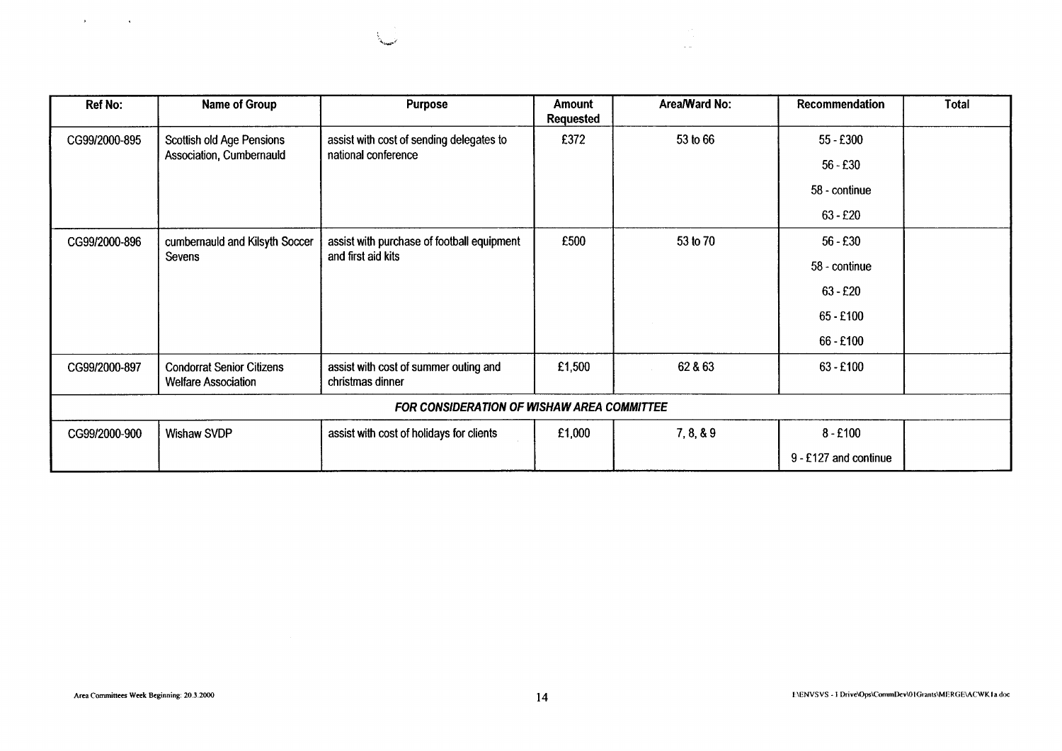| <b>Ref No:</b> | Name of Group                                                  | <b>Purpose</b>                                                   | <b>Amount</b><br>Requested | Area/Ward No: | Recommendation        | <b>Total</b> |
|----------------|----------------------------------------------------------------|------------------------------------------------------------------|----------------------------|---------------|-----------------------|--------------|
| CG99/2000-895  | Scottish old Age Pensions                                      | assist with cost of sending delegates to                         | £372                       | 53 to 66      | 55 - £300             |              |
|                | Association, Cumbernauld                                       | national conference                                              |                            |               | $56 - £30$            |              |
|                |                                                                |                                                                  |                            |               | 58 - continue         |              |
|                |                                                                |                                                                  |                            |               | $63 - £20$            |              |
| CG99/2000-896  | cumbernauld and Kilsyth Soccer                                 | assist with purchase of football equipment<br>and first aid kits | £500                       | 53 to 70      | $56 - £30$            |              |
|                | Sevens                                                         |                                                                  |                            |               | 58 - continue         |              |
|                |                                                                |                                                                  |                            |               | $63 - £20$            |              |
|                |                                                                |                                                                  |                            |               | 65 - £100             |              |
|                |                                                                |                                                                  |                            |               | 66 - £100             |              |
| CG99/2000-897  | <b>Condorrat Senior Citizens</b><br><b>Welfare Association</b> | assist with cost of summer outing and<br>christmas dinner        | £1,500                     | 62 & 63       | $63 - £100$           |              |
|                |                                                                | <b>FOR CONSIDERATION OF WISHAW AREA COMMITTEE</b>                |                            |               |                       |              |
| CG99/2000-900  | Wishaw SVDP                                                    | assist with cost of holidays for clients                         | £1,000                     | 7, 8, 8.9     | $8 - £100$            |              |
|                |                                                                |                                                                  |                            |               | 9 - £127 and continue |              |

 $\sim$   $\sim$ 

 $\mathcal{A}^{\text{max}}$  and  $\mathcal{A}^{\text{max}}$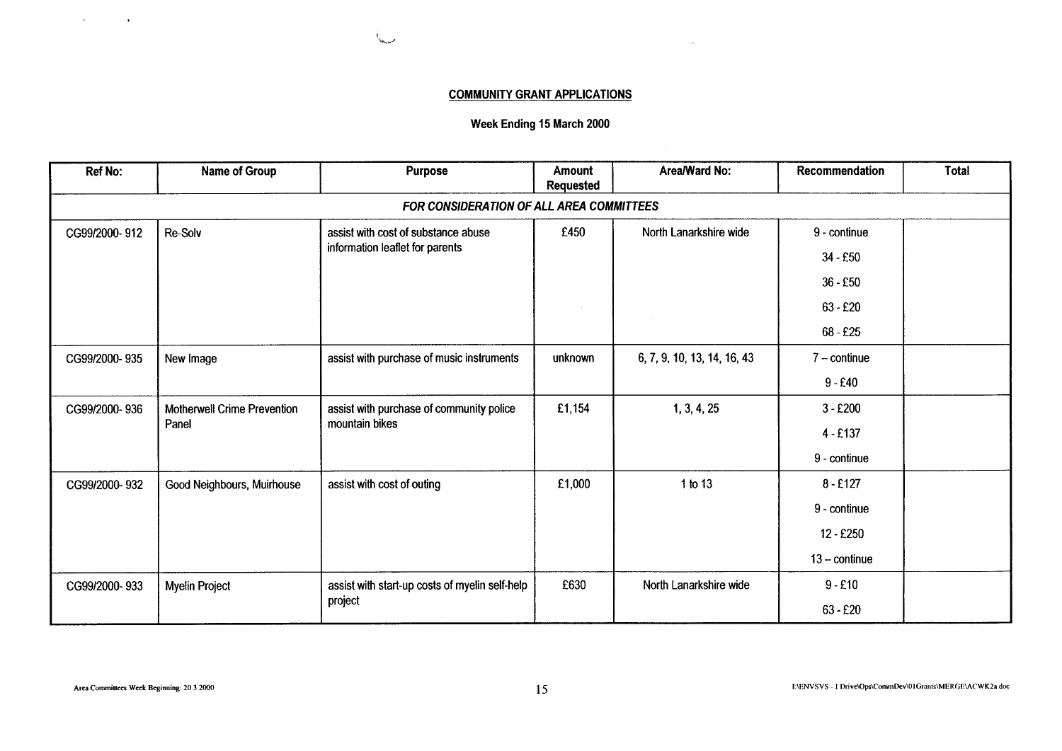# **COMMUNITY GRANT APPLICATIONS**

 $\sim 10^{-1}$ 

**County** 

**Week Ending 15 March 2000** 

| <b>Ref No:</b>                           | <b>Name of Group</b>               | <b>Purpose</b>                                 | <b>Amount</b><br><b>Requested</b> | Area/Ward No:               | Recommendation         | <b>Total</b> |  |  |  |
|------------------------------------------|------------------------------------|------------------------------------------------|-----------------------------------|-----------------------------|------------------------|--------------|--|--|--|
| FOR CONSIDERATION OF ALL AREA COMMITTEES |                                    |                                                |                                   |                             |                        |              |  |  |  |
| CG99/2000-912                            | Re-Solv                            | assist with cost of substance abuse            | £450                              | North Lanarkshire wide      | 9 - continue           |              |  |  |  |
|                                          |                                    | information leaflet for parents                |                                   |                             | $34 - £50$             |              |  |  |  |
|                                          |                                    |                                                |                                   |                             | $36 - £50$             |              |  |  |  |
|                                          |                                    |                                                |                                   |                             | $63 - £20$             |              |  |  |  |
|                                          |                                    |                                                |                                   |                             | 68 - £25               |              |  |  |  |
| CG99/2000-935                            | New Image                          | assist with purchase of music instruments      | unknown                           | 6, 7, 9, 10, 13, 14, 16, 43 | $7$ – continue         |              |  |  |  |
|                                          |                                    |                                                |                                   |                             | $9 - £40$              |              |  |  |  |
| CG99/2000-936                            | <b>Motherwell Crime Prevention</b> | assist with purchase of community police       | £1,154                            | 1, 3, 4, 25                 | $3 - £200$             |              |  |  |  |
|                                          | Panel                              | mountain bikes                                 |                                   |                             | $4 - £137$             |              |  |  |  |
|                                          |                                    |                                                |                                   |                             | 9 - continue           |              |  |  |  |
| CG99/2000-932                            | Good Neighbours, Muirhouse         | assist with cost of outing                     | £1,000                            | 1 to 13                     | $8 - £127$             |              |  |  |  |
|                                          |                                    |                                                |                                   |                             | 9 - continue           |              |  |  |  |
|                                          |                                    |                                                |                                   |                             | 12 - £250              |              |  |  |  |
|                                          |                                    |                                                |                                   |                             | $13 - \text{continue}$ |              |  |  |  |
| CG99/2000-933                            | Myelin Project                     | assist with start-up costs of myelin self-help | £630                              | North Lanarkshire wide      | $9 - £10$              |              |  |  |  |
|                                          |                                    | project                                        |                                   |                             | $63 - £20$             |              |  |  |  |

 $\Delta \phi = 0.0000$  and  $\Delta \phi$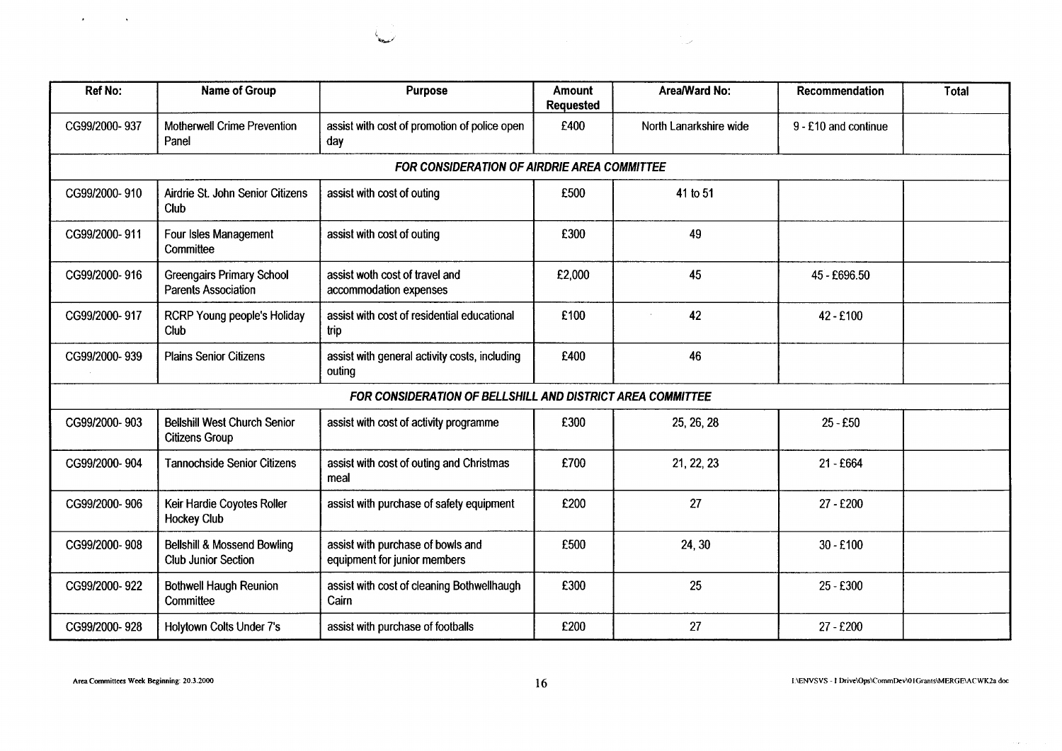| and the control of<br>الممتعصفة<br>$\sim 10^{10}$ $^{-1}$<br>Name of Group<br>Area/Ward No:<br>Recommendation<br><b>Ref No:</b><br>Purpose<br>Amount<br>Total<br>Requested<br>assist with cost of promotion of police open<br>CG99/2000-937<br>Motherwell Crime Prevention<br>£400<br>North Lanarkshire wide<br>9 - £10 and continue<br>$\vert$ day<br>Panel<br>FOR CONSIDERATION OF AIRDRIE AREA COMMITTEE<br>CG99/2000-910   Airdrie St. John Senior Citizens   assist with cost of outing<br>£500<br>41 to 51<br>$ $ Club<br>CG99/2000-911   Four Isles Management<br>assist with cost of outing<br>£300<br>49<br>Committee<br>CG99/2000-916   Greengairs Primary School<br>Parents Association<br>assist woth cost of travel and<br>£2,000<br>45<br>45 - £696.50<br>accommodation expenses<br>CG99/2000-917   RCRP Young people's Holiday<br>assist with cost of residential educational<br>£100<br>42<br>42 - £100<br>Club<br>trip<br>assist with general activity costs, including<br>£400<br>CG99/2000-939   Plains Senior Citizens<br>46<br>outing<br>FOR CONSIDERATION OF BELLSHILL AND DISTRICT AREA COMMITTEE<br>CG99/2000-903   Bellshill West Church Senior<br>£300<br>assist with cost of activity programme<br>25 - £50<br>25, 26, 28<br>Citizens Group<br>CG99/2000-904<br><b>Tannochside Senior Citizens</b><br>assist with cost of outing and Christmas<br>£700<br>21, 22, 23<br>21 - £664<br>meal<br>  Keir Hardie Coyotes Roller<br>assist with purchase of safety equipment<br>27<br>CG99/2000-906<br>£200<br>27 - £200<br>Hockey Club<br>assist with purchase of bowls and<br>£500<br>CG99/2000-908   Bellshill & Mossend Bowling<br>24, 30<br>$30 - £100$<br>Club Junior Section<br>equipment for junior members<br>£300<br>CG99/2000-922   Bothwell Haugh Reunion<br>assist with cost of cleaning Bothwellhaugh<br>Cairn<br>25<br>25 - £300<br>Committee<br>assist with purchase of footballs<br>£200<br>27<br>CG99/2000-928   Holytown Colts Under 7's<br>27 - £200<br>I:\ENVSVS - I Drive\Ops\CommDev\01Grants\MERGE\ACWK2a doc<br>Area Committees Week Beginning: 20.3.2000<br>16 |
|--------------------------------------------------------------------------------------------------------------------------------------------------------------------------------------------------------------------------------------------------------------------------------------------------------------------------------------------------------------------------------------------------------------------------------------------------------------------------------------------------------------------------------------------------------------------------------------------------------------------------------------------------------------------------------------------------------------------------------------------------------------------------------------------------------------------------------------------------------------------------------------------------------------------------------------------------------------------------------------------------------------------------------------------------------------------------------------------------------------------------------------------------------------------------------------------------------------------------------------------------------------------------------------------------------------------------------------------------------------------------------------------------------------------------------------------------------------------------------------------------------------------------------------------------------------------------------------------------------------------------------------------------------------------------------------------------------------------------------------------------------------------------------------------------------------------------------------------------------------------------------------------------------------------------------------------------------------------------------------------------------------------------------------------------------------------------------------------------------------|
|                                                                                                                                                                                                                                                                                                                                                                                                                                                                                                                                                                                                                                                                                                                                                                                                                                                                                                                                                                                                                                                                                                                                                                                                                                                                                                                                                                                                                                                                                                                                                                                                                                                                                                                                                                                                                                                                                                                                                                                                                                                                                                              |
|                                                                                                                                                                                                                                                                                                                                                                                                                                                                                                                                                                                                                                                                                                                                                                                                                                                                                                                                                                                                                                                                                                                                                                                                                                                                                                                                                                                                                                                                                                                                                                                                                                                                                                                                                                                                                                                                                                                                                                                                                                                                                                              |
|                                                                                                                                                                                                                                                                                                                                                                                                                                                                                                                                                                                                                                                                                                                                                                                                                                                                                                                                                                                                                                                                                                                                                                                                                                                                                                                                                                                                                                                                                                                                                                                                                                                                                                                                                                                                                                                                                                                                                                                                                                                                                                              |
|                                                                                                                                                                                                                                                                                                                                                                                                                                                                                                                                                                                                                                                                                                                                                                                                                                                                                                                                                                                                                                                                                                                                                                                                                                                                                                                                                                                                                                                                                                                                                                                                                                                                                                                                                                                                                                                                                                                                                                                                                                                                                                              |
|                                                                                                                                                                                                                                                                                                                                                                                                                                                                                                                                                                                                                                                                                                                                                                                                                                                                                                                                                                                                                                                                                                                                                                                                                                                                                                                                                                                                                                                                                                                                                                                                                                                                                                                                                                                                                                                                                                                                                                                                                                                                                                              |
|                                                                                                                                                                                                                                                                                                                                                                                                                                                                                                                                                                                                                                                                                                                                                                                                                                                                                                                                                                                                                                                                                                                                                                                                                                                                                                                                                                                                                                                                                                                                                                                                                                                                                                                                                                                                                                                                                                                                                                                                                                                                                                              |
|                                                                                                                                                                                                                                                                                                                                                                                                                                                                                                                                                                                                                                                                                                                                                                                                                                                                                                                                                                                                                                                                                                                                                                                                                                                                                                                                                                                                                                                                                                                                                                                                                                                                                                                                                                                                                                                                                                                                                                                                                                                                                                              |
|                                                                                                                                                                                                                                                                                                                                                                                                                                                                                                                                                                                                                                                                                                                                                                                                                                                                                                                                                                                                                                                                                                                                                                                                                                                                                                                                                                                                                                                                                                                                                                                                                                                                                                                                                                                                                                                                                                                                                                                                                                                                                                              |
|                                                                                                                                                                                                                                                                                                                                                                                                                                                                                                                                                                                                                                                                                                                                                                                                                                                                                                                                                                                                                                                                                                                                                                                                                                                                                                                                                                                                                                                                                                                                                                                                                                                                                                                                                                                                                                                                                                                                                                                                                                                                                                              |
|                                                                                                                                                                                                                                                                                                                                                                                                                                                                                                                                                                                                                                                                                                                                                                                                                                                                                                                                                                                                                                                                                                                                                                                                                                                                                                                                                                                                                                                                                                                                                                                                                                                                                                                                                                                                                                                                                                                                                                                                                                                                                                              |
|                                                                                                                                                                                                                                                                                                                                                                                                                                                                                                                                                                                                                                                                                                                                                                                                                                                                                                                                                                                                                                                                                                                                                                                                                                                                                                                                                                                                                                                                                                                                                                                                                                                                                                                                                                                                                                                                                                                                                                                                                                                                                                              |
|                                                                                                                                                                                                                                                                                                                                                                                                                                                                                                                                                                                                                                                                                                                                                                                                                                                                                                                                                                                                                                                                                                                                                                                                                                                                                                                                                                                                                                                                                                                                                                                                                                                                                                                                                                                                                                                                                                                                                                                                                                                                                                              |
|                                                                                                                                                                                                                                                                                                                                                                                                                                                                                                                                                                                                                                                                                                                                                                                                                                                                                                                                                                                                                                                                                                                                                                                                                                                                                                                                                                                                                                                                                                                                                                                                                                                                                                                                                                                                                                                                                                                                                                                                                                                                                                              |
|                                                                                                                                                                                                                                                                                                                                                                                                                                                                                                                                                                                                                                                                                                                                                                                                                                                                                                                                                                                                                                                                                                                                                                                                                                                                                                                                                                                                                                                                                                                                                                                                                                                                                                                                                                                                                                                                                                                                                                                                                                                                                                              |
|                                                                                                                                                                                                                                                                                                                                                                                                                                                                                                                                                                                                                                                                                                                                                                                                                                                                                                                                                                                                                                                                                                                                                                                                                                                                                                                                                                                                                                                                                                                                                                                                                                                                                                                                                                                                                                                                                                                                                                                                                                                                                                              |
|                                                                                                                                                                                                                                                                                                                                                                                                                                                                                                                                                                                                                                                                                                                                                                                                                                                                                                                                                                                                                                                                                                                                                                                                                                                                                                                                                                                                                                                                                                                                                                                                                                                                                                                                                                                                                                                                                                                                                                                                                                                                                                              |
|                                                                                                                                                                                                                                                                                                                                                                                                                                                                                                                                                                                                                                                                                                                                                                                                                                                                                                                                                                                                                                                                                                                                                                                                                                                                                                                                                                                                                                                                                                                                                                                                                                                                                                                                                                                                                                                                                                                                                                                                                                                                                                              |
|                                                                                                                                                                                                                                                                                                                                                                                                                                                                                                                                                                                                                                                                                                                                                                                                                                                                                                                                                                                                                                                                                                                                                                                                                                                                                                                                                                                                                                                                                                                                                                                                                                                                                                                                                                                                                                                                                                                                                                                                                                                                                                              |
|                                                                                                                                                                                                                                                                                                                                                                                                                                                                                                                                                                                                                                                                                                                                                                                                                                                                                                                                                                                                                                                                                                                                                                                                                                                                                                                                                                                                                                                                                                                                                                                                                                                                                                                                                                                                                                                                                                                                                                                                                                                                                                              |
|                                                                                                                                                                                                                                                                                                                                                                                                                                                                                                                                                                                                                                                                                                                                                                                                                                                                                                                                                                                                                                                                                                                                                                                                                                                                                                                                                                                                                                                                                                                                                                                                                                                                                                                                                                                                                                                                                                                                                                                                                                                                                                              |
|                                                                                                                                                                                                                                                                                                                                                                                                                                                                                                                                                                                                                                                                                                                                                                                                                                                                                                                                                                                                                                                                                                                                                                                                                                                                                                                                                                                                                                                                                                                                                                                                                                                                                                                                                                                                                                                                                                                                                                                                                                                                                                              |
|                                                                                                                                                                                                                                                                                                                                                                                                                                                                                                                                                                                                                                                                                                                                                                                                                                                                                                                                                                                                                                                                                                                                                                                                                                                                                                                                                                                                                                                                                                                                                                                                                                                                                                                                                                                                                                                                                                                                                                                                                                                                                                              |
|                                                                                                                                                                                                                                                                                                                                                                                                                                                                                                                                                                                                                                                                                                                                                                                                                                                                                                                                                                                                                                                                                                                                                                                                                                                                                                                                                                                                                                                                                                                                                                                                                                                                                                                                                                                                                                                                                                                                                                                                                                                                                                              |
|                                                                                                                                                                                                                                                                                                                                                                                                                                                                                                                                                                                                                                                                                                                                                                                                                                                                                                                                                                                                                                                                                                                                                                                                                                                                                                                                                                                                                                                                                                                                                                                                                                                                                                                                                                                                                                                                                                                                                                                                                                                                                                              |
|                                                                                                                                                                                                                                                                                                                                                                                                                                                                                                                                                                                                                                                                                                                                                                                                                                                                                                                                                                                                                                                                                                                                                                                                                                                                                                                                                                                                                                                                                                                                                                                                                                                                                                                                                                                                                                                                                                                                                                                                                                                                                                              |
|                                                                                                                                                                                                                                                                                                                                                                                                                                                                                                                                                                                                                                                                                                                                                                                                                                                                                                                                                                                                                                                                                                                                                                                                                                                                                                                                                                                                                                                                                                                                                                                                                                                                                                                                                                                                                                                                                                                                                                                                                                                                                                              |
|                                                                                                                                                                                                                                                                                                                                                                                                                                                                                                                                                                                                                                                                                                                                                                                                                                                                                                                                                                                                                                                                                                                                                                                                                                                                                                                                                                                                                                                                                                                                                                                                                                                                                                                                                                                                                                                                                                                                                                                                                                                                                                              |
|                                                                                                                                                                                                                                                                                                                                                                                                                                                                                                                                                                                                                                                                                                                                                                                                                                                                                                                                                                                                                                                                                                                                                                                                                                                                                                                                                                                                                                                                                                                                                                                                                                                                                                                                                                                                                                                                                                                                                                                                                                                                                                              |
|                                                                                                                                                                                                                                                                                                                                                                                                                                                                                                                                                                                                                                                                                                                                                                                                                                                                                                                                                                                                                                                                                                                                                                                                                                                                                                                                                                                                                                                                                                                                                                                                                                                                                                                                                                                                                                                                                                                                                                                                                                                                                                              |
|                                                                                                                                                                                                                                                                                                                                                                                                                                                                                                                                                                                                                                                                                                                                                                                                                                                                                                                                                                                                                                                                                                                                                                                                                                                                                                                                                                                                                                                                                                                                                                                                                                                                                                                                                                                                                                                                                                                                                                                                                                                                                                              |
|                                                                                                                                                                                                                                                                                                                                                                                                                                                                                                                                                                                                                                                                                                                                                                                                                                                                                                                                                                                                                                                                                                                                                                                                                                                                                                                                                                                                                                                                                                                                                                                                                                                                                                                                                                                                                                                                                                                                                                                                                                                                                                              |
|                                                                                                                                                                                                                                                                                                                                                                                                                                                                                                                                                                                                                                                                                                                                                                                                                                                                                                                                                                                                                                                                                                                                                                                                                                                                                                                                                                                                                                                                                                                                                                                                                                                                                                                                                                                                                                                                                                                                                                                                                                                                                                              |
|                                                                                                                                                                                                                                                                                                                                                                                                                                                                                                                                                                                                                                                                                                                                                                                                                                                                                                                                                                                                                                                                                                                                                                                                                                                                                                                                                                                                                                                                                                                                                                                                                                                                                                                                                                                                                                                                                                                                                                                                                                                                                                              |
|                                                                                                                                                                                                                                                                                                                                                                                                                                                                                                                                                                                                                                                                                                                                                                                                                                                                                                                                                                                                                                                                                                                                                                                                                                                                                                                                                                                                                                                                                                                                                                                                                                                                                                                                                                                                                                                                                                                                                                                                                                                                                                              |
|                                                                                                                                                                                                                                                                                                                                                                                                                                                                                                                                                                                                                                                                                                                                                                                                                                                                                                                                                                                                                                                                                                                                                                                                                                                                                                                                                                                                                                                                                                                                                                                                                                                                                                                                                                                                                                                                                                                                                                                                                                                                                                              |
|                                                                                                                                                                                                                                                                                                                                                                                                                                                                                                                                                                                                                                                                                                                                                                                                                                                                                                                                                                                                                                                                                                                                                                                                                                                                                                                                                                                                                                                                                                                                                                                                                                                                                                                                                                                                                                                                                                                                                                                                                                                                                                              |
|                                                                                                                                                                                                                                                                                                                                                                                                                                                                                                                                                                                                                                                                                                                                                                                                                                                                                                                                                                                                                                                                                                                                                                                                                                                                                                                                                                                                                                                                                                                                                                                                                                                                                                                                                                                                                                                                                                                                                                                                                                                                                                              |
|                                                                                                                                                                                                                                                                                                                                                                                                                                                                                                                                                                                                                                                                                                                                                                                                                                                                                                                                                                                                                                                                                                                                                                                                                                                                                                                                                                                                                                                                                                                                                                                                                                                                                                                                                                                                                                                                                                                                                                                                                                                                                                              |
|                                                                                                                                                                                                                                                                                                                                                                                                                                                                                                                                                                                                                                                                                                                                                                                                                                                                                                                                                                                                                                                                                                                                                                                                                                                                                                                                                                                                                                                                                                                                                                                                                                                                                                                                                                                                                                                                                                                                                                                                                                                                                                              |
|                                                                                                                                                                                                                                                                                                                                                                                                                                                                                                                                                                                                                                                                                                                                                                                                                                                                                                                                                                                                                                                                                                                                                                                                                                                                                                                                                                                                                                                                                                                                                                                                                                                                                                                                                                                                                                                                                                                                                                                                                                                                                                              |
|                                                                                                                                                                                                                                                                                                                                                                                                                                                                                                                                                                                                                                                                                                                                                                                                                                                                                                                                                                                                                                                                                                                                                                                                                                                                                                                                                                                                                                                                                                                                                                                                                                                                                                                                                                                                                                                                                                                                                                                                                                                                                                              |
|                                                                                                                                                                                                                                                                                                                                                                                                                                                                                                                                                                                                                                                                                                                                                                                                                                                                                                                                                                                                                                                                                                                                                                                                                                                                                                                                                                                                                                                                                                                                                                                                                                                                                                                                                                                                                                                                                                                                                                                                                                                                                                              |
|                                                                                                                                                                                                                                                                                                                                                                                                                                                                                                                                                                                                                                                                                                                                                                                                                                                                                                                                                                                                                                                                                                                                                                                                                                                                                                                                                                                                                                                                                                                                                                                                                                                                                                                                                                                                                                                                                                                                                                                                                                                                                                              |
|                                                                                                                                                                                                                                                                                                                                                                                                                                                                                                                                                                                                                                                                                                                                                                                                                                                                                                                                                                                                                                                                                                                                                                                                                                                                                                                                                                                                                                                                                                                                                                                                                                                                                                                                                                                                                                                                                                                                                                                                                                                                                                              |
|                                                                                                                                                                                                                                                                                                                                                                                                                                                                                                                                                                                                                                                                                                                                                                                                                                                                                                                                                                                                                                                                                                                                                                                                                                                                                                                                                                                                                                                                                                                                                                                                                                                                                                                                                                                                                                                                                                                                                                                                                                                                                                              |
|                                                                                                                                                                                                                                                                                                                                                                                                                                                                                                                                                                                                                                                                                                                                                                                                                                                                                                                                                                                                                                                                                                                                                                                                                                                                                                                                                                                                                                                                                                                                                                                                                                                                                                                                                                                                                                                                                                                                                                                                                                                                                                              |
|                                                                                                                                                                                                                                                                                                                                                                                                                                                                                                                                                                                                                                                                                                                                                                                                                                                                                                                                                                                                                                                                                                                                                                                                                                                                                                                                                                                                                                                                                                                                                                                                                                                                                                                                                                                                                                                                                                                                                                                                                                                                                                              |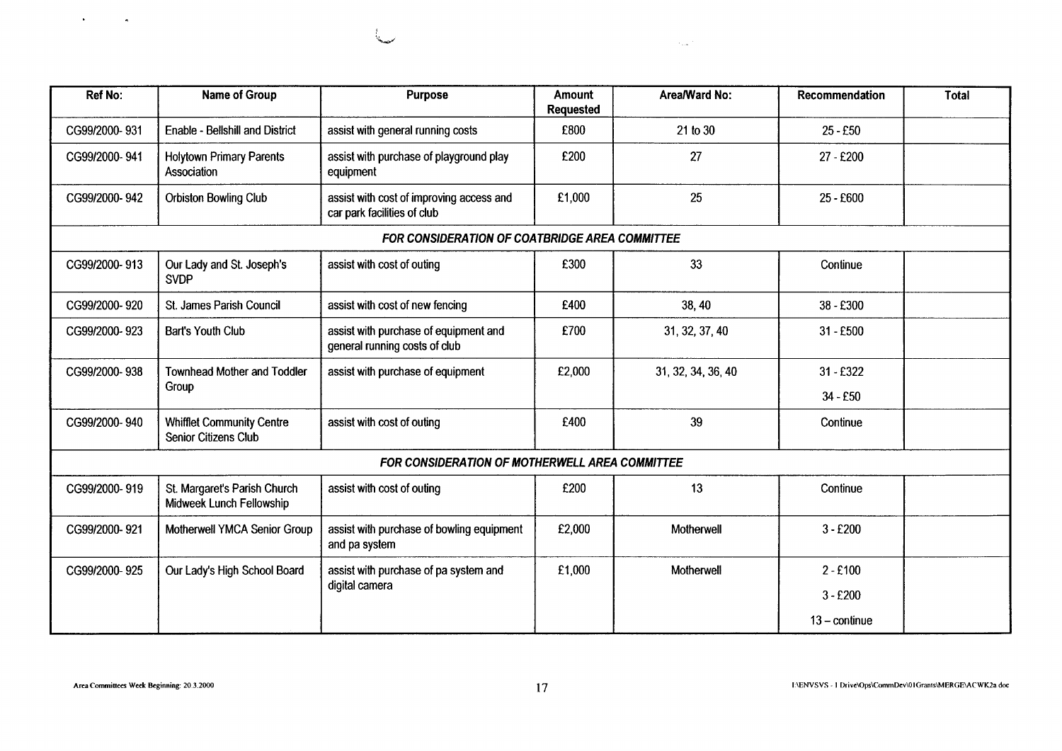| <b>Ref No:</b> | <b>Name of Group</b>                                     | <b>Purpose</b>                                                          | <b>Amount</b><br><b>Requested</b> | Area/Ward No:      | Recommendation         | Total |
|----------------|----------------------------------------------------------|-------------------------------------------------------------------------|-----------------------------------|--------------------|------------------------|-------|
| CG99/2000-931  | <b>Enable - Bellshill and District</b>                   | assist with general running costs                                       | £800                              | 21 to 30           | $25 - £50$             |       |
| CG99/2000-941  | <b>Holytown Primary Parents</b><br>Association           | assist with purchase of playground play<br>equipment                    | £200                              | 27                 | 27 - £200              |       |
| CG99/2000-942  | Orbiston Bowling Club                                    | assist with cost of improving access and<br>car park facilities of club | £1,000                            | 25                 | 25 - £600              |       |
|                |                                                          | FOR CONSIDERATION OF COATBRIDGE AREA COMMITTEE                          |                                   |                    |                        |       |
| CG99/2000-913  | Our Lady and St. Joseph's<br><b>SVDP</b>                 | assist with cost of outing                                              | £300                              | 33                 | Continue               |       |
| CG99/2000-920  | St. James Parish Council                                 | assist with cost of new fencing                                         | £400                              | 38,40              | 38 - £300              |       |
| CG99/2000-923  | Bart's Youth Club                                        | assist with purchase of equipment and<br>general running costs of club  | £700                              | 31, 32, 37, 40     | $31 - £500$            |       |
| CG99/2000-938  | <b>Townhead Mother and Toddler</b>                       | assist with purchase of equipment                                       | £2,000                            | 31, 32, 34, 36, 40 | 31 - £322              |       |
|                | Group                                                    |                                                                         |                                   |                    | $34 - £50$             |       |
| CG99/2000-940  | <b>Whifflet Community Centre</b><br>Senior Citizens Club | assist with cost of outing                                              | £400                              | 39                 | Continue               |       |
|                |                                                          | FOR CONSIDERATION OF MOTHERWELL AREA COMMITTEE                          |                                   |                    |                        |       |
| CG99/2000-919  | St. Margaret's Parish Church<br>Midweek Lunch Fellowship | assist with cost of outing                                              | £200                              | 13                 | Continue               |       |
| CG99/2000-921  | Motherwell YMCA Senior Group                             | assist with purchase of bowling equipment<br>and pa system              | £2,000                            | Motherwell         | $3 - £200$             |       |
| CG99/2000-925  | Our Lady's High School Board                             | assist with purchase of pa system and                                   | £1,000                            | Motherwell         | $2 - £100$             |       |
|                |                                                          | digital camera                                                          |                                   |                    | $3 - £200$             |       |
|                |                                                          |                                                                         |                                   |                    | $13 - \text{continue}$ |       |

المندار

مدية

 $\bullet$  .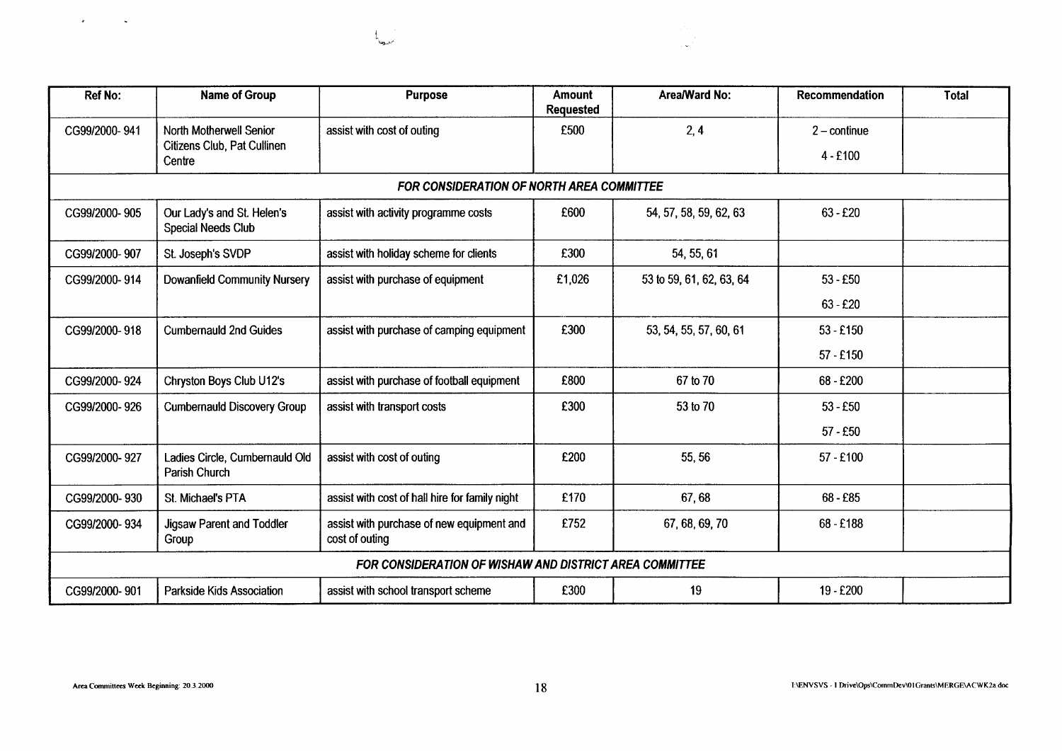|                                                                                                                                                                                         |                                                        |                                                                                   |                            | $\sim 10$<br>i se                      |                                                           |              |
|-----------------------------------------------------------------------------------------------------------------------------------------------------------------------------------------|--------------------------------------------------------|-----------------------------------------------------------------------------------|----------------------------|----------------------------------------|-----------------------------------------------------------|--------------|
|                                                                                                                                                                                         |                                                        |                                                                                   |                            |                                        |                                                           |              |
| <b>Ref No:</b>                                                                                                                                                                          | <b>Name of Group</b>                                   | <b>Purpose</b>                                                                    | Amount<br><b>Requested</b> | Area/Ward No:                          | Recommendation                                            | <b>Total</b> |
|                                                                                                                                                                                         | North Motherwell Senior<br>Citizens Club, Pat Cullinen | assist with cost of outing                                                        | £500                       | 2, 4                                   | $2$ – continue                                            |              |
|                                                                                                                                                                                         | Centre                                                 |                                                                                   |                            |                                        | $4 - £100$                                                |              |
|                                                                                                                                                                                         | Our Lady's and St. Helen's                             | FOR CONSIDERATION OF NORTH AREA COMMITTEE<br>assist with activity programme costs | £600                       | 54, 57, 58, 59, 62, 63                 | $63 - £20$                                                |              |
|                                                                                                                                                                                         | <b>Special Needs Club</b>                              |                                                                                   |                            |                                        |                                                           |              |
|                                                                                                                                                                                         | St. Joseph's SVDP                                      | assist with holiday scheme for clients<br>assist with purchase of equipment       | £300<br>£1,026             | 54, 55, 61<br>53 to 59, 61, 62, 63, 64 | $53 - £50$                                                |              |
|                                                                                                                                                                                         | <b>Dowanfield Community Nursery</b>                    |                                                                                   |                            |                                        | $63 - £20$                                                |              |
|                                                                                                                                                                                         | <b>Cumbernauld 2nd Guides</b>                          | assist with purchase of camping equipment                                         | £300                       | 53, 54, 55, 57, 60, 61                 | $53 - £150$                                               |              |
|                                                                                                                                                                                         |                                                        |                                                                                   |                            |                                        | $57 - £150$                                               |              |
|                                                                                                                                                                                         | Chryston Boys Club U12's                               | assist with purchase of football equipment<br>assist with transport costs         | £800<br>£300               | 67 to 70<br>53 to 70                   | 68 - £200<br>$53 - £50$                                   |              |
|                                                                                                                                                                                         | <b>Cumbernauld Discovery Group</b>                     |                                                                                   |                            |                                        | $57 - £50$                                                |              |
|                                                                                                                                                                                         | Ladies Circle, Cumbernauld Old                         | assist with cost of outing                                                        | £200                       | 55, 56                                 | 57 - £100                                                 |              |
|                                                                                                                                                                                         | Parish Church<br>St. Michael's PTA                     | assist with cost of hall hire for family night                                    | £170                       | 67,68                                  | 68 - £85                                                  |              |
|                                                                                                                                                                                         | Jigsaw Parent and Toddler                              | assist with purchase of new equipment and                                         | £752                       | 67, 68, 69, 70                         | 68 - £188                                                 |              |
|                                                                                                                                                                                         | Group                                                  | cost of outing<br>FOR CONSIDERATION OF WISHAW AND DISTRICT AREA COMMITTEE         |                            |                                        |                                                           |              |
|                                                                                                                                                                                         | Parkside Kids Association                              | assist with school transport scheme                                               | £300                       | 19                                     | 19 - £200                                                 |              |
|                                                                                                                                                                                         |                                                        |                                                                                   |                            |                                        |                                                           |              |
|                                                                                                                                                                                         |                                                        |                                                                                   |                            |                                        |                                                           |              |
| Area Committees Week Beginning: 20.3.2000                                                                                                                                               |                                                        |                                                                                   | 18                         |                                        | I:\ENVSVS - I Drive\Ops\CommDev\01Grants\MERGE\ACWK2a.doc |              |
| CG99/2000-941<br>CG99/2000-905<br>CG99/2000-907<br>CG99/2000-914<br>CG99/2000-918<br>CG99/2000-924<br>CG99/2000-926<br>CG99/2000-927<br>CG99/2000-930<br>CG99/2000-934<br>CG99/2000-901 |                                                        |                                                                                   |                            |                                        |                                                           |              |